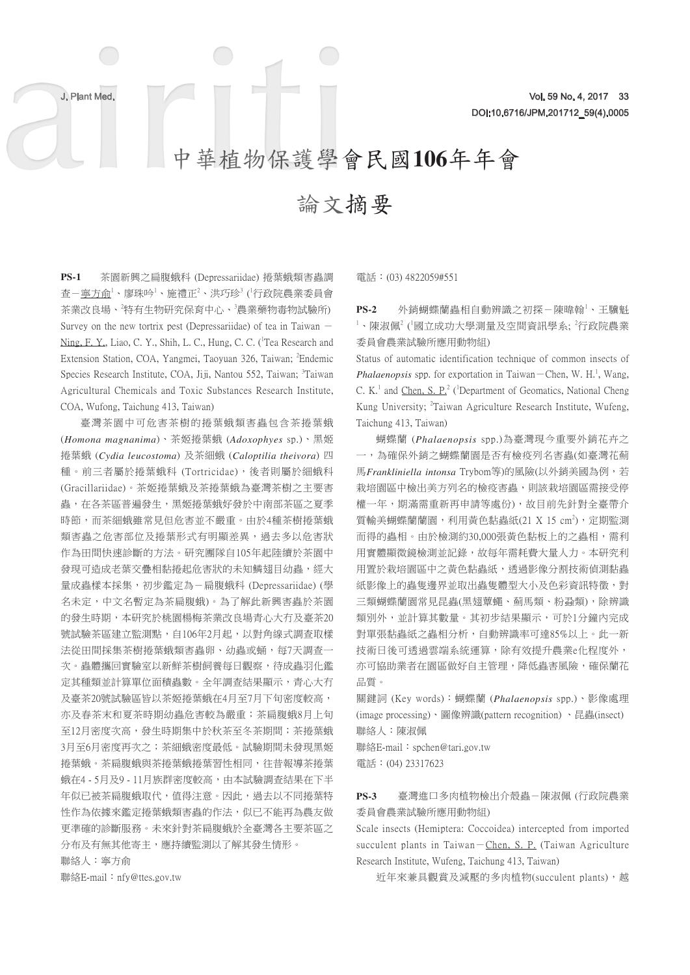# 中華植物保護學會民國**106**年年會

# 論文摘要

**PS-1** 茶園新興之扁腹蛾科 (Depressariidae) 捲葉蛾類害蟲調 查-<u>寧方命'、廖珠吟'、施禮正<sup>2</sup>、洪巧珍<sup>3</sup> ('行政院農業委員會</u> 茶業改良場、<sup>2</sup>特有生物研究保育中心、<sup>3</sup>農業藥物毒物試驗所) Survey on the new tortrix pest (Depressariidae) of tea in Taiwan  $-$ Ning, F. Y., Liao, C. Y., Shih, L. C., Hung, C. C. (Tea Research and Extension Station, COA, Yangmei, Taoyuan 326, Taiwan; <sup>2</sup>Endemic Species Research Institute, COA, Jiji, Nantou 552, Taiwan; <sup>3</sup>Taiwan Agricultural Chemicals and Toxic Substances Research Institute, COA, Wufong, Taichung 413, Taiwan)

臺灣茶園中可危害茶樹的捲葉蛾類害蟲包含茶捲葉蛾 (*Homona magnanima*)、茶姬捲葉蛾 (*Adoxophyes* sp.)、黑姬 捲葉蛾 (*Cydia leucostoma*) 及茶細蛾 (*Caloptilia theivora*) 四 種。前三者屬於捲葉蛾科 (Tortricidae),後者則屬於細蛾科 (Gracillariidae)。茶姬捲葉蛾及茶捲葉蛾為臺灣茶樹之主要害 蟲,在各茶區普遍發生,黑姬捲葉蛾好發於中南部茶區之夏季 時節,而茶細蛾雖常見但危害並不嚴重。由於4種茶樹捲葉蛾 類害蟲之危害部位及捲葉形式有明顯差異,過去多以危害狀 作為田間快速診斷的方法。研究團隊自105年起陸續於茶園中 發現可造成老葉交疊相黏捲起危害狀的未知鱗翅目幼蟲,經大 量成蟲樣本採集,初步鑑定為-扁腹蛾科 (Depressariidae) (學 名未定,中文名暫定為茶扁腹蛾)。為了解此新興害蟲於茶園 的發生時期,本研究於桃園楊梅茶業改良場青心大冇及臺茶20 號試驗茶區建立監測點,自106年2月起,以對角線式調查取樣 法從田間採集茶樹捲葉蛾類害蟲卵、幼蟲或蛹,每7天調查一 次。蟲體攜回實驗室以新鮮茶樹飼養每日觀察,待成蟲羽化鑑 定其種類並計算單位面積蟲數。全年調查結果顯示,青心大冇 及臺茶20號試驗區皆以茶姬捲葉蛾在4月至7月下旬密度較高, 亦及春茶末和夏茶時期幼蟲危害較為嚴重;茶扁腹蛾8月上旬 至12月密度次高,發生時期集中於秋茶至冬茶期間;茶捲葉蛾 3月至6月密度再次之;茶細蛾密度最低。試驗期間未發現黑姬 捲葉蛾。茶扁腹蛾與茶捲葉蛾捲葉習性相同,往昔報導茶捲葉 蛾在4 - 5月及9 - 11月族群密度較高,由本試驗調查結果在下半 年似已被茶扁腹蛾取代,值得注意。因此,過去以不同捲葉特 性作為依據來鑑定捲葉蛾類害蟲的作法,似已不能再為農友做 更準確的診斷服務。未來針對茶扁腹蛾於全臺灣各主要茶區之 分布及有無其他寄主,應持續監測以了解其發生情形。

聯絡人:寧方俞

聯絡E-mail: nfy@ttes.gov.tw

電話:(03) 4822059#551

PS-2 外銷蝴蝶蘭蟲相自動辨識之初探-陳暐翰<sup>1</sup>、王驥魁  $^1$ 、陳淑佩 $^2$  ( 國立成功大學測量及空間資訊學系;  $^2$ 行政院農業 委員會農業試驗所應用動物組)

Status of automatic identification technique of common insects of *Phalaenopsis* spp. for exportation in Taiwan – Chen, W. H.<sup>1</sup>, Wang, C. K.<sup>1</sup> and Chen, S. P.<sup>2</sup> (<sup>1</sup>Department of Geomatics, National Cheng Kung University; <sup>2</sup>Taiwan Agriculture Research Institute, Wufeng, Taichung 413, Taiwan)

蝴蝶蘭 (*Phalaenopsis* spp.)為臺灣現今重要外銷花卉之 一,為確保外銷之蝴蝶蘭園是否有檢疫列名害蟲(如臺灣花薊 馬*Frankliniella intonsa* Trybom等)的風險(以外銷美國為例,若 栽培園區中檢出美方列名的檢疫害蟲,則該栽培園區需接受停 權一年,期滿需重新再申請等處份),故目前先針對全臺帶介 質輸美蝴蝶蘭蘭園,利用黃色黏蟲紙 $(21 \text{ X } 15 \text{ cm}^2)$ , 定期監測 而得的蟲相。由於檢測約30,000張黃色黏板上的之蟲相,需利 用實體顯微鏡檢測並記錄,故每年需耗費大量人力。本研究利 用置於栽培園區中之黃色黏蟲紙,透過影像分割技術偵測黏蟲 紙影像上的蟲隻邊界並取出蟲隻體型大小及色彩資訊特徵,對 三類蝴蝶蘭園常見昆蟲(黑翅蕈蠅、薊馬類、粉蝨類),除辨識 類別外,並計算其數量。其初步結果顯示,可於1分鐘內完成 對單張黏蟲紙之蟲相分析,自動辨識率可達85%以上。此一新 技術日後可透過雲端系統運算,除有效提升農業e化程度外, 亦可協助業者在園區做好自主管理,降低蟲害風險,確保蘭花 品質。

關鍵詞 (Key words):蝴蝶蘭 (*Phalaenopsis* spp.)、影像處理 (image processing)、圖像辨識(pattern recognition) 、昆蟲(insect) 聯絡人:陳淑佩

聯絡E-mail:spchen@tari.gov.tw 電話:(04) 23317623

# **PS-3** 臺灣進口多肉植物檢出介殼蟲-陳淑佩 (行政院農業 委員會農業試驗所應用動物組)

Scale insects (Hemiptera: Coccoidea) intercepted from imported succulent plants in Taiwan-Chen, S. P. (Taiwan Agriculture Research Institute, Wufeng, Taichung 413, Taiwan)

近年來兼具觀賞及減壓的多肉植物(succulent plants),越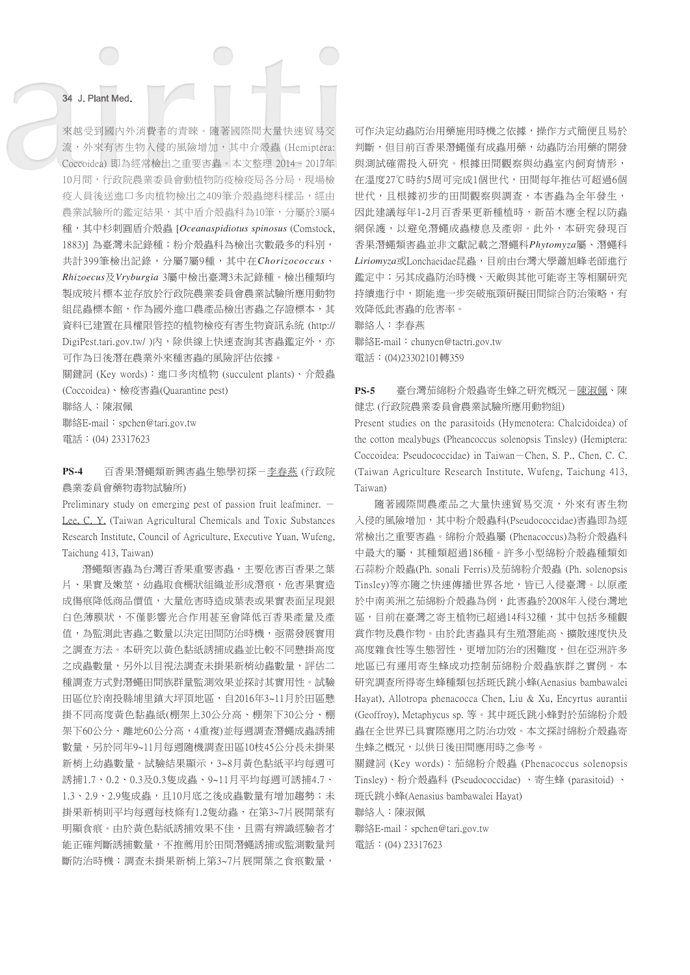來越受到國內外消費者的青睞。隨著國際間大量快速貿易交 流,外來有害生物入侵的風險增加,其中介殼蟲 (Hemiptera: Coccoidea) 即為經常檢出之重要害蟲。本文整理 2014–2017年 10月間,行政院農業委員會動植物防疫檢疫局各分局,現場檢 疫人員後送進口多肉植物檢出之409筆介殼蟲總科樣品,經由 農業試驗所的鑑定結果,其中盾介殼蟲科為10筆,分屬於3屬4 種,其中杉刺圓盾介殼蟲 [*Oceanaspidiotus spinosus* (Comstock, 1883)] 為臺灣未記錄種;粉介殼蟲科為檢出次數最多的科別, 共計399筆檢出記錄,分屬7屬9種,其中在*Chorizococcus*、 *Rhizoecus*及*Vryburgia* 3屬中檢出臺灣3未記錄種。檢出種類均 製成玻片標本並存放於行政院農業委員會農業試驗所應用動物 組昆蟲標本館,作為國外進口農產品檢出害蟲之存證標本,其 資料已建置在具權限管控的植物檢疫有害生物資訊系統 (http:// DigiPest.tari.gov.tw/ )內,除供線上快速查詢其害蟲鑑定外,亦 可作為日後潛在農業外來種害蟲的風險評估依據。

關鍵詞 (Key words):進口多肉植物 (succulent plants)、介殼蟲 (Coccoidea)、檢疫害蟲(Quarantine pest)

聯絡人:陳淑佩

聯絡E-mail:spchen@tari.gov.tw 電話:(04) 23317623

# **PS-4** 百香果潛蠅類新興害蟲生態學初探-李春燕 (行政院 農業委員會藥物毒物試驗所)

Preliminary study on emerging pest of passion fruit leafminer.  $-$ Lee, C. Y. (Taiwan Agricultural Chemicals and Toxic Substances Research Institute, Council of Agriculture, Executive Yuan, Wufeng, Taichung 413, Taiwan)

潛蠅類害蟲為台灣百香果重要害蟲,主要危害百香果之葉 片、果實及嫩莖,幼蟲取食柵狀組織並形成潛痕,危害果實造 成傷痕降低商品價值,大量危害時造成葉表或果實表面呈現銀 白色薄膜狀,不僅影響光合作用甚至會降低百香果產量及產 值,為監測此害蟲之數量以決定田間防治時機,亟需發展實用 之調查方法。本研究以黃色黏紙誘捕成蟲並比較不同懸掛高度 之成蟲數量,另外以目視法調查未掛果新梢幼蟲數量,評估二 種調查方式對潛蠅田間族群量監測效果並探討其實用性。試驗 田區位於南投縣埔里鎮大坪頂地區,自2016年3~11月於田區懸 掛不同高度黃色黏蟲紙(棚架上30公分高、棚架下30公分、棚 架下60公分、離地60公分高,4重複)並每週調查潛蠅成蟲誘捕 數量,另於同年9~11月每週隨機調查田區10枝45公分長未掛果 新梢上幼蟲數量。試驗結果顯示,3~8月黃色黏紙平均每週可 誘捕1.7、0.2、0.3及0.3隻成蟲、9~11月平均每週可誘捕4.7、 1.3、2.9、2.9隻成蟲,且10月底之後成蟲數量有增加趨勢;未 掛果新梢則平均每週每枝條有1.2隻幼蟲,在第3~7片展開葉有 明顯食痕。由於黃色黏紙誘捕效果不佳,且需有辨識經驗者才 能正確判斷誘捕數量,不推薦用於田間潛蠅誘捕或監測數量判 斷防治時機;調查未掛果新梢上第3~7片展開葉之食痕數量,

可作決定幼蟲防治用藥施用時機之依據,操作方式簡便且易於 判斷,但目前百香果潛蠅僅有成蟲用藥,幼蟲防治用藥的開發 與測試確需投入研究。根據田間觀察與幼蟲室內飼育情形, 在溫度27℃時約5周可完成1個世代,田間每年推估可超過6個 世代,且根據初步的田間觀察與調查,本害蟲為全年發生, 因此建議每年1-2月百香果更新種植時,新苗木應全程以防蟲 網保護,以避免潛蠅成蟲棲息及產卵。此外,本研究發現百 香果潛蠅類害蟲並非文獻記載之潛蠅科*Phytomyza*屬、潛蠅科 *Liriomyza*或Lonchaeidae昆蟲,目前由台灣大學蕭旭峰老師進行 鑑定中;另其成蟲防治時機、天敵與其他可能寄主等相關研究 持續進行中,期能進一步突破瓶頸研擬田間綜合防治策略,有 效降低此害蟲的危害率。

聯絡人:李春燕

聯絡E-mail: chunyen@tactri.gov.tw 電話:(04)23302101轉359

# **PS-5** 臺台灣茄綿粉介殼蟲寄生蜂之研究概況-陳淑佩、陳 健忠 (行政院農業委員會農業試驗所應用動物組)

Present studies on the parasitoids (Hymenotera: Chalcidoidea) of the cotton mealybugs (Pheancoccus solenopsis Tinsley) (Hemiptera: Coccoidea: Pseudococcidae) in Taiwan-Chen, S. P., Chen, C. C. (Taiwan Agriculture Research Institute, Wufeng, Taichung 413, Taiwan)

隨著國際間農產品之大量快速貿易交流,外來有害生物 入侵的風險增加,其中粉介殼蟲科(Pseudococcidae)害蟲即為經 常檢出之重要害蟲。綿粉介殼蟲屬 (Phenacoccus)為粉介殼蟲科 中最大的屬,其種類超過186種。許多小型綿粉介殼蟲種類如 石蒜粉介殼蟲(Ph. sonali Ferris)及茄綿粉介殼蟲 (Ph. solenopsis Tinsley)等亦隨之快速傳播世界各地,皆已入侵臺灣。以原產 於中南美洲之茄綿粉介殼蟲為例,此害蟲於2008年入侵台灣地 區,目前在臺灣之寄主植物已超過14科32種,其中包括多種觀 賞作物及農作物。由於此害蟲具有生殖潛能高、擴散速度快及 高度雜食性等生態習性,更增加防治的困難度,但在亞洲許多 地區已有運用寄生蜂成功控制茄綿粉介殼蟲族群之實例。本 研究調查所得寄生蜂種類包括斑氏跳小蜂(Aenasius bambawalei Hayat), Allotropa phenacocca Chen, Liu & Xu, Encyrtus aurantii (Geoffroy), Metaphycus sp. 等。其中斑氏跳小蜂對於茄綿粉介殼 蟲在全世界已具實際應用之防治功效。本文探討綿粉介殼蟲寄 生蜂之概況,以供日後田間應用時之參考。

關鍵詞 (Key words):茄綿粉介殼蟲 (Phenacoccus solenopsis Tinsley)、粉介殼蟲科 (Pseudococcidae) 、寄生蜂 (parasitoid) 、 斑氏跳小蜂(Aenasius bambawalei Hayat) 聯絡人:陳淑佩

聯絡E-mail: spchen@tari.gov.tw 電話:(04) 23317623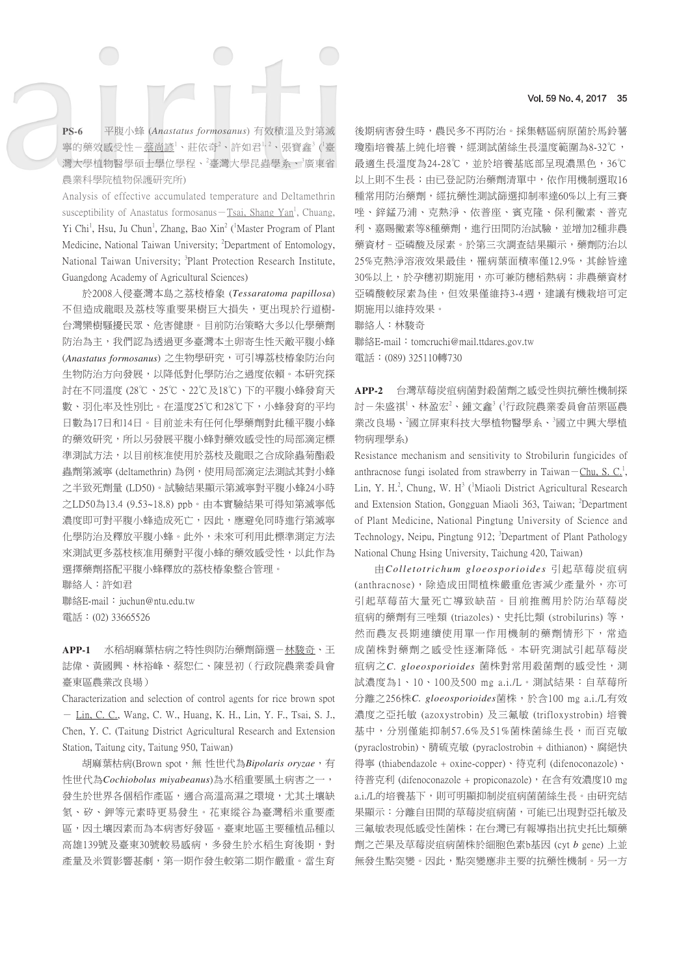**PS-6** 平腹小蜂 (*Anastatus formosanus*) 有效積溫及對第滅 寧的藥效感受性-<u>蔡尚諺'、莊依奇<sup>2</sup>、許如君<sup>1,2</sup>、張寶鑫<sup>3</sup> (<sup>1</sup>臺</u> 灣大學植物醫學碩士學位學程、<sup>2</sup>臺灣大學昆蟲學系、<sup>3</sup>廣東省 農業科學院植物保護研究所)

Analysis of effective accumulated temperature and Deltamethrin susceptibility of Anastatus formosanus — Tsai, Shang Yan<sup>1</sup>, Chuang, Yi Chi<sup>1</sup>, Hsu, Ju Chun<sup>1</sup>, Zhang, Bao Xin<sup>2</sup> ('Master Program of Plant Medicine, National Taiwan University; <sup>2</sup>Department of Entomology, National Taiwan University; <sup>3</sup>Plant Protection Research Institute, Guangdong Academy of Agricultural Sciences)

於2008入侵臺灣本島之荔枝椿象 (*Tessaratoma papillosa*) 不但造成龍眼及荔枝等重要果樹巨大損失,更出現於行道樹-台灣欒樹騷擾民眾、危害健康。目前防治策略大多以化學藥劑 防治為主,我們認為透過更多臺灣本土卵寄生性天敵平腹小蜂 (Anastatus formosanus) 之生物學研究,可引導荔枝椿象防治向 生物防治方向發展,以降低對化學防治之過度依賴。本研究探 討在不同溫度 (28℃、25℃、22℃及18℃) 下的平腹小蜂發育天 數、羽化率及性別比。在溫度25℃和28℃下,小蜂發育的平均 日數為17日和14日。目前並未有任何化學藥劑對此種平腹小蜂 的藥效研究,所以另發展平腹小蜂對藥效感受性的局部滴定標 準測試方法,以目前核准使用於荔枝及龍眼之合成除蟲菊酯殺 蟲劑第滅寧 (deltamethrin) 為例,使用局部滴定法測試其對小蜂 之半致死劑量 (LD50)。試驗結果顯示第滅寧對平腹小蜂24小時 之LD50為13.4 (9.53~18.8) ppb。由本實驗結果可得知第滅寧低 濃度即可對平腹小蜂造成死亡,因此,應避免同時進行第滅寧 化學防治及釋放平腹小蜂。此外,未來可利用此標準測定方法 來測試更多荔枝核准用藥對平復小蜂的藥效感受性,以此作為 選擇藥劑搭配平腹小蜂釋放的荔枝椿象整合管理。

聯絡人:許如君

聯絡E-mail: juchun@ntu.edu.tw 電話:(02) 33665526

APP-1 水稻胡麻葉枯病之特性與防治藥劑篩選-林駿奇、王 誌偉、黃國興、林裕峰、蔡恕仁、陳昱初(行政院農業委員會 臺東區農業改良場)

Characterization and selection of control agents for rice brown spot - Lin, C. C., Wang, C. W., Huang, K. H., Lin, Y. F., Tsai, S. J., Chen, Y. C. (Taitung District Agricultural Research and Extension Station, Taitung city, Taitung 950, Taiwan)

胡麻葉枯病(Brown spot,無 性世代為*Bipolaris oryzae*,有 性世代為*Cochiobolus miyabeanus*)為水稻重要風土病害之一, 發生於世界各個稻作產區,適合高溫高濕之環境,尤其土壤缺 氮、矽、鉀等元素時更易發生。花東縱谷為臺灣稻米重要產 區,因土壤因素而為本病害好發區。臺東地區主要種植品種以 高雄139號及臺東30號較易感病,多發生於水稻生育後期,對 產量及米質影響甚劇,第一期作發生較第二期作嚴重。當生育

後期病害發生時,農民多不再防治。採集轄區病原菌於馬鈴薯 瓊脂培養基上純化培養,經測試菌絲生長溫度範圍為8-32℃, 最適生長溫度為24-28℃,並於培養基底部呈現濃黑色,36℃ 以上則不生長;由已登記防治藥劑清單中,依作用機制選取16 種常用防治藥劑,經抗藥性測試篩選抑制率達60%以上有三賽 唑、鋅錳乃浦、克熱淨、依普座、賓克隆、保利黴素、普克 利、嘉賜黴素等8種藥劑,進行田間防治試驗,並增加2種非農 藥資材–亞磷酸及尿素。於第三次調查結果顯示,藥劑防治以 25%克熱淨溶液效果最佳,罹病葉面積率僅12.9%,其餘皆達 30%以上,於孕穗初期施用,亦可兼防穗稻熱病;非農藥資材 亞磷酸較尿素為佳,但效果僅維持3-4週,建議有機栽培可定 期施用以維持效果。

聯絡人:林駿奇

聯絡E-mail: tomcruchi@mail.ttdares.gov.tw 電話:(089) 325110轉730

**APP-2** 台灣草莓炭疽病菌對殺菌劑之感受性與抗藥性機制探 討-朱盛祺'、林盈宏<sup>2</sup>、鍾文鑫<sup>3</sup>('行政院農業委員會苗栗區農 業改良場、<sup>2</sup>國立屏東科技大學植物醫學系、<sup>3</sup>國立中興大學植 物病理學系)

Resistance mechanism and sensitivity to Strobilurin fungicides of anthracnose fungi isolated from strawberry in Taiwan – Chu, S. C.<sup>1</sup>, Lin, Y. H.<sup>2</sup>, Chung, W. H<sup>3</sup> (<sup>1</sup>Miaoli District Agricultural Research and Extension Station, Gongguan Miaoli 363, Taiwan; <sup>2</sup>Department of Plant Medicine, National Pingtung University of Science and Technology, Neipu, Pingtung 912; <sup>3</sup>Department of Plant Pathology National Chung Hsing University, Taichung 420, Taiwan)

由*Colletotrichum gloeosporioides* 引起草莓炭疽病 (anthracnose),除造成田間植株嚴重危害減少產量外,亦可 引起草莓苗大量死亡導致缺苗。目前推薦用於防治草莓炭 疽病的藥劑有三唑類 (triazoles)、史托比類 (strobilurins) 等, 然而農友長期連續使用單一作用機制的藥劑情形下,常造 成菌株對藥劑之感受性逐漸降低。本研究測試引起草莓炭 疽病之*C. gloeosporioides* 菌株對常用殺菌劑的感受性,測 試濃度為1、10、100及500 mg a.i./L。測試結果:自草莓所 分離之256株*C. gloeosporioides*菌株,於含100 mg a.i./L有效 濃度之亞托敏 (azoxystrobin) 及三氟敏 (trifloxystrobin) 培養 基中,分別僅能抑制57.6%及51%菌株菌絲生長,而百克敏 (pyraclostrobin)、腈硫克敏 (pyraclostrobin + dithianon)、腐絕快 得寧 (thiabendazole + oxine-copper)、待克利 (difenoconazole)、 待普克利 (difenoconazole + propiconazole), 在含有效濃度10 mg a.i./L的培養基下,則可明顯抑制炭疽病菌菌絲生長。由研究結 果顯示:分離自田間的草莓炭疽病菌,可能已出現對亞托敏及 三氟敏表現低感受性菌株;在台灣已有報導指出抗史托比類藥 劑之芒果及草莓炭疽病菌株於細胞色素b基因 (cyt *b* gene) 上並 無發生點突變。因此,點突變應非主要的抗藥性機制。另一方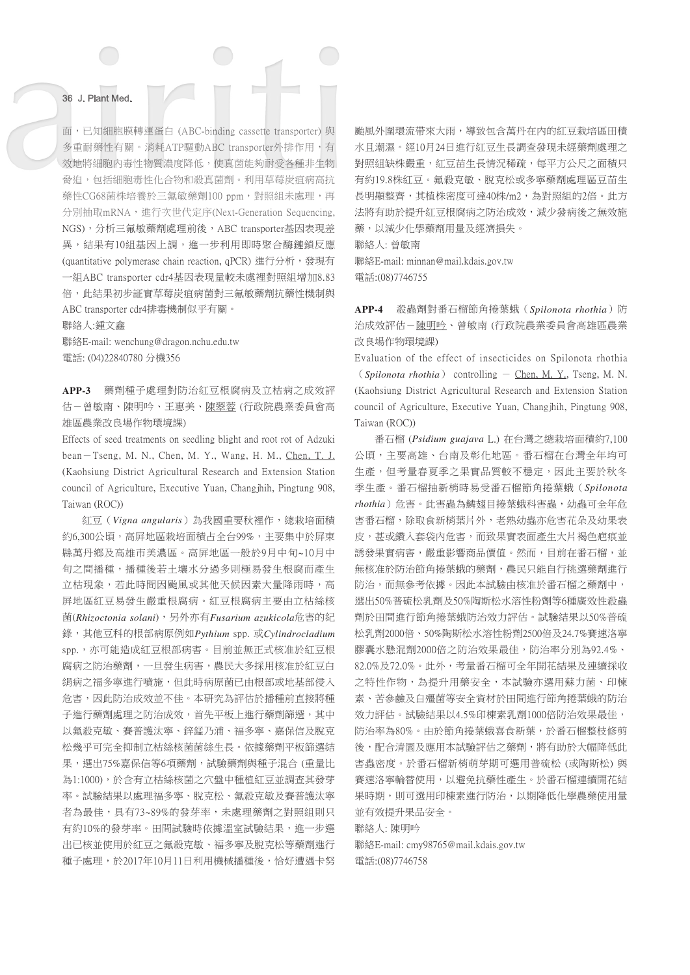面,已知細胞膜轉運蛋白 (ABC-binding cassette transporter) 與 多重耐藥性有關。消耗ATP驅動ABC transporter外排作用,有 效地將細胞內毒性物質濃度降低,使真菌能夠耐受各種非生物 脅迫,包括細胞毒性化合物和殺真菌劑。利用草莓炭疽病高抗 藥性CG68菌株培養於三氟敏藥劑100 ppm,對照組未處理,再 分別抽取mRNA,進行次世代定序(Next-Generation Sequencing, NGS),分析三氟敏藥劑處理前後,ABC transporter基因表現差 異,結果有10組基因上調,進一步利用即時聚合酶鏈鎖反應 (quantitative polymerase chain reaction, qPCR) 進行分析,發現有 一組ABC transporter cdr4基因表現量較未處裡對照組增加8.83 倍,此結果初步証實草莓炭疽病菌對三氟敏藥劑抗藥性機制與 ABC transporter cdr4排毒機制似乎有關。

聯絡人:鍾文鑫

聯絡E-mail: wenchung@dragon.nchu.edu.tw 電話: (04)22840780 分機356

**APP-3** 藥劑種子處理對防治紅豆根腐病及立枯病之成效評 估-曾敏南、陳明吟、王惠美、陳翠蓉 (行政院農業委員會高 雄區農業改良場作物環境課)

Effects of seed treatments on seedling blight and root rot of Adzuki bean-Tseng, M. N., Chen, M. Y., Wang, H. M., Chen, T. J. (Kaohsiung District Agricultural Research and Extension Station council of Agriculture, Executive Yuan, Changjhih, Pingtung 908, Taiwan (ROC))

紅豆(*Vigna angularis*)為我國重要秋裡作,總栽培面積 約6,300公頃,高屏地區栽培面積占全台99%,主要集中於屏東 縣萬丹鄉及高雄市美濃區。高屏地區一般於9月中旬~10月中 旬之間播種,播種後若土壤水分過多則極易發生根腐而產生 立枯現象,若此時間因颱風或其他天候因素大量降雨時,高 屏地區紅豆易發生嚴重根腐病。紅豆根腐病主要由立枯絲核 菌(*Rhizoctonia solani*),另外亦有*Fusarium azukicola*危害的紀 錄,其他豆科的根部病原例如*Pythium* spp. 或*Cylindrocladium* spp., 亦可能造成紅豆根部病害。目前並無正式核准於紅豆根 腐病之防治藥劑,一旦發生病害,農民大多採用核准於紅豆白 絹病之福多寧進行噴施,但此時病原菌已由根部或地基部侵入 危害,因此防治成效並不佳。本研究為評估於播種前直接將種 子進行藥劑處理之防治成效,首先平板上進行藥劑篩選,其中 以氟殺克敏、賽普護汰寧、鋅錳乃浦、福多寧、嘉保信及脫克 松幾乎可完全抑制立枯絲核菌菌絲生長。依據藥劑平板篩選結 果,選出75%嘉保信等6項藥劑,試驗藥劑與種子混合 (重量比 為1:1000),於含有立枯絲核菌之穴盤中種植紅豆並調查其發芽 率。試驗結果以處理福多寧、脫克松、氟殺克敏及賽普護汰寧 者為最佳,具有73~89%的發芽率,未處理藥劑之對照組則只 有約10%的發芽率。田間試驗時依據溫室試驗結果,進一步選 出已核並使用於紅豆之氟殺克敏、福多寧及脫克松等藥劑進行 種子處理,於2017年10月11日利用機械播種後,恰好遭遇卡努

颱風外圍環流帶來大雨,導致包含萬丹在內的紅豆栽培區田積 水且潮濕。經10月24日進行紅豆生長調查發現未經藥劑處理之 對照組缺株嚴重,紅豆苗生長情況稀疏,每平方公尺之面積只 有約19.8株紅豆。氟殺克敏、脫克松或多寧藥劑處理區豆苗生 長明顯整齊,其植株密度可達40株/m2,為對照組的2倍。此方 法將有助於提升紅豆根腐病之防治成效,減少發病後之無效施 藥,以減少化學藥劑用量及經濟損失。

聯絡人: 曾敏南

聯絡E-mail: minnan@mail.kdais.gov.tw 電話:(08)7746755

**APP-4** 殺蟲劑對番石榴節角捲葉蛾(*Spilonota rhothia*)防 治成效評估-陳明吟、曾敏南 (行政院農業委員會高雄區農業 改良場作物環境課)

Evaluation of the effect of insecticides on Spilonota rhothia  $(Spilonota$  *rhothia*) controlling  $-$  Chen, M. Y., Tseng, M. N. (Kaohsiung District Agricultural Research and Extension Station council of Agriculture, Executive Yuan, Changjhih, Pingtung 908, Taiwan (ROC))

番石榴 (*Psidium guajava* L.) 在台灣之總栽培面積約7,100 公頃,主要高雄、台南及彰化地區。番石榴在台灣全年均可 生產,但考量春夏季之果實品質較不穩定,因此主要於秋冬 季生產。番石榴抽新梢時易受番石榴節角捲葉蛾(*Spilonota rhothia*)危害。此害蟲為鱗翅目捲葉蛾科害蟲,幼蟲可全年危 害番石榴,除取食新梢葉片外,老熟幼蟲亦危害花朵及幼果表 皮,甚或鑽入套袋內危害,而致果實表面產生大片褐色疤痕並 誘發果實病害,嚴重影響商品價值。然而,目前在番石榴,並 無核准於防治節角捲葉蛾的藥劑,農民只能自行挑選藥劑進行 防治,而無參考依據。因此本試驗由核准於番石榴之藥劑中, 選出50%普硫松乳劑及50%陶斯松水溶性粉劑等6種廣效性殺蟲 劑於田間進行節角捲葉蛾防治效力評估。試驗結果以50%普硫 松乳劑2000倍、50%陶斯松水溶性粉劑2500倍及24.7%賽速洛寧 膠囊水懸混劑2000倍之防治效果最佳,防治率分別為92.4%、 82.0%及72.0%。此外,考量番石榴可全年開花結果及連續採收 之特性作物,為提升用藥安全,本試驗亦選用蘇力菌、印楝 素、苦參鹼及白殭菌等安全資材於田間進行節角捲葉蛾的防治 效力評估。試驗結果以4.5%印楝素乳劑1000倍防治效果最佳, 防治率為80%。由於節角捲葉蛾喜食新葉,於番石榴整枝修剪 後,配合清園及應用本試驗評估之藥劑,將有助於大幅降低此 害蟲密度。於番石榴新梢萌芽期可選用普硫松 (或陶斯松) 與 賽速洛寧輪替使用,以避免抗藥性產生。於番石榴連續開花結 果時期,則可選用印楝素進行防治,以期降低化學農藥使用量 並有效提升果品安全。

聯絡人: 陳明吟

聯絡E-mail: cmy98765@mail.kdais.gov.tw 電話:(08)7746758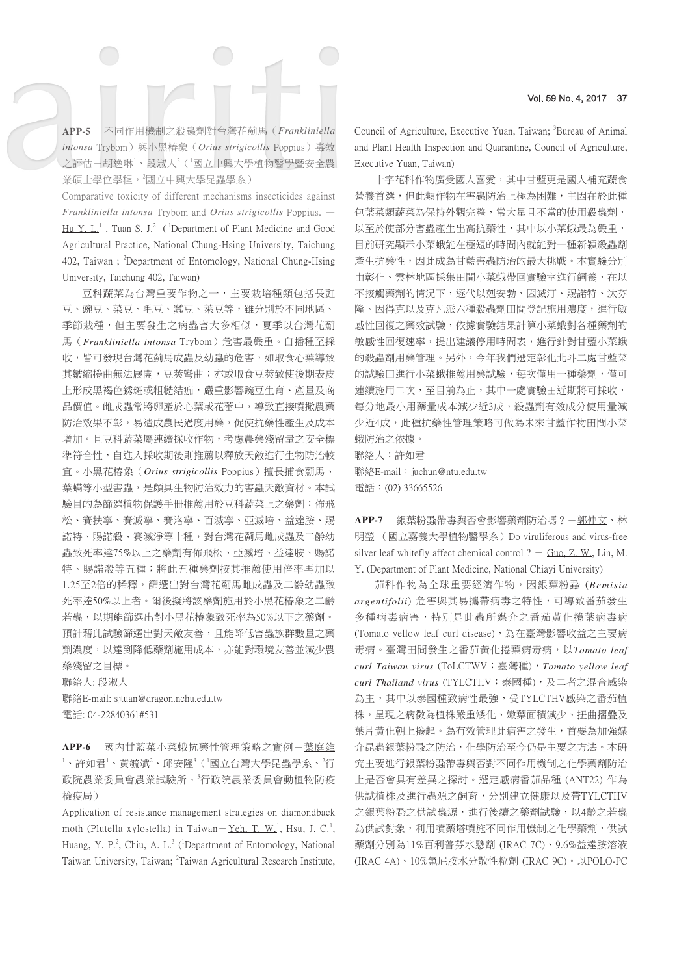**APP-5** 不同作用機制之殺蟲劑對台灣花薊馬(*Frankliniella intonsa* Trybom)與小黑椿象(*Orius strigicollis* Poppius)毒效 之評估-胡逸琳1、段淑人2(「國立中興大學植物醫學暨安全農 業碩士學位學程,<sup>2</sup>國立中興大學昆蟲學系)

Comparative toxicity of different mechanisms insecticides against *Frankliniella intonsa* Trybom and *Orius strigicollis* Poppius. —

 $\text{Hu Y. L}$ , Tuan S. J.<sup>2</sup> (<sup>1</sup>Department of Plant Medicine and Good Agricultural Practice, National Chung-Hsing University, Taichung 402, Taiwan; <sup>2</sup>Department of Entomology, National Chung-Hsing University, Taichung 402, Taiwan)

豆科蔬菜為台灣重要作物之一,主要栽培種類包括長豇 豆、豌豆、菜豆、蠶豆、萊豆等,雖分別於不同地區、 季節栽種,但主要發生之病蟲害大多相似,夏季以台灣花薊 馬(*Frankliniella intonsa* Trybom)危害最嚴重。自播種至採 收,皆可發現台灣花薊馬成蟲及幼蟲的危害,如取食心葉導致 其皺縮捲曲無法展開,豆莢彎曲;亦或取食豆莢致使後期表皮 上形成黑褐色銹斑或粗糙結痂,嚴重影響豌豆生育、產量及商 品價值。雌成蟲常將卵產於心葉或花蕾中,導致直接噴撒農藥 防治效果不彰,易造成農民過度用藥,促使抗藥性產生及成本 增加。且豆科蔬菜屬連續採收作物,考慮農藥殘留量之安全標 準符合性,自進入採收期後則推薦以釋放天敵進行生物防治較 宜。小黑花椿象(*Orius strigicollis* Poppius)擅長捕食薊馬、 葉蟎等小型害蟲,是頗具生物防治效力的害蟲天敵資材。本試 驗目的為篩選植物保護手冊推薦用於豆科蔬菜上之藥劑:佈飛 松、賽扶寧、賽滅寧、賽洛寧、百滅寧、亞滅培、益達胺、賜 諾特、賜諾殺、賽滅淨等十種,對台灣花薊馬雌成蟲及二齡幼 蟲致死率達75%以上之藥劑有佈飛松、亞滅培、益達胺、賜諾 特、賜諾殺等五種;將此五種藥劑按其推薦使用倍率再加以 1.25至2倍的稀釋,篩選出對台灣花薊馬雌成蟲及二齡幼蟲致 死率達50%以上者。爾後擬將該藥劑施用於小黑花椿象之二齡 若蟲,以期能篩選出對小黑花椿象致死率為50%以下之藥劑。 預計藉此試驗篩選出對天敵友善,且能降低害蟲族群數量之藥 劑濃度,以達到降低藥劑施用成本,亦能對環境友善並減少農 藥殘留之目標。

聯絡人: 段淑人 聯絡E-mail: sjtuan@dragon.nchu.edu.tw 電話: 04-22840361#531

**APP-6** 國內甘藍菜小菜蛾抗藥性管理策略之實例-葉庭維  $^1$ 、許如君 $^1$ 、黃毓斌 $^2$ 、邱安隆 $^3$ ( $^1$ 國立台灣大學昆蟲學系、 $^2$ 行 政院農業委員會農業試驗所、<sup>3</sup>行政院農業委員會動植物防疫 檢疫局)

Application of resistance management strategies on diamondback moth (Plutella xylostella) in Taiwan - Yeh, T. W.<sup>1</sup>, Hsu, J. C.<sup>1</sup>, Huang, Y. P.<sup>2</sup>, Chiu, A. L.<sup>3</sup> (<sup>1</sup>Department of Entomology, National Taiwan University, Taiwan; <sup>2</sup>Taiwan Agricultural Research Institute,

Council of Agriculture, Executive Yuan, Taiwan; <sup>3</sup>Bureau of Animal and Plant Health Inspection and Quarantine, Council of Agriculture, Executive Yuan, Taiwan)

十字花科作物廣受國人喜愛,其中甘藍更是國人補充蔬食 營養首選,但此類作物在害蟲防治上極為困難,主因在於此種 包葉菜類蔬菜為保持外觀完整,常大量且不當的使用殺蟲劑, 以至於使部分害蟲產生出高抗藥性,其中以小菜蛾最為嚴重, 目前研究顯示小菜蛾能在極短的時間內就能對一種新穎殺蟲劑 產生抗藥性,因此成為甘藍害蟲防治的最大挑戰。本實驗分別 由彰化、雲林地區採集田間小菜蛾帶回實驗室進行飼養,在以 不接觸藥劑的情況下,逐代以剋安勃、因滅汀、賜諾特、汰芬 隆、因得克以及克凡派六種殺蟲劑田間登記施用濃度,進行敏 感性回復之藥效試驗,依據實驗結果計算小菜蛾對各種藥劑的 敏感性回復速率,提出建議停用時間表,進行針對甘藍小菜蛾 的殺蟲劑用藥管理。另外,今年我們選定彰化北斗二處甘藍菜 的試驗田進行小菜蛾推薦用藥試驗,每次僅用一種藥劑,僅可 連續施用二次,至目前為止,其中一處實驗田近期將可採收, 每分地最小用藥量成本減少近3成,殺蟲劑有效成分使用量減 少近4成,此種抗藥性管理策略可做為未來甘藍作物田間小菜 蛾防治之依據。

聯絡人:許如君 聯絡E-mail: juchun@ntu.edu.tw 電話:(02) 33665526

APP-7 銀葉粉蝨帶毒與否會影響藥劑防治嗎?一<u>郭仲文</u>、林 明瑩 (國立嘉義大學植物醫學系)Do viruliferous and virus-free silver leaf whitefly affect chemical control  $? -$  Guo, Z. W., Lin, M. Y. (Department of Plant Medicine, National Chiayi University)

茄科作物為全球重要經濟作物,因銀葉粉蝨 (*Bemisia argentifolii*) 危害與其易攜帶病毒之特性,可導致番茄發生 多種病毒病害,特別是此蟲所媒介之番茄黃化捲葉病毒病 (Tomato yellow leaf curl disease),為在臺灣影響收益之主要病 毒病。臺灣田間發生之番茄黃化捲葉病毒病,以*Tomato leaf curl Taiwan virus* (ToLCTWV;臺灣種),*Tomato yellow leaf curl Thailand virus* (TYLCTHV;泰國種),及二者之混合感染 為主,其中以泰國種致病性最強,受TYLCTHV感染之番茄植 株,呈現之病徵為植株嚴重矮化、嫩葉面積減少、扭曲摺疊及 葉片黃化朝上捲起。為有效管理此病害之發生,首要為加強媒 介昆蟲銀葉粉蝨之防治,化學防治至今仍是主要之方法。本研 究主要進行銀葉粉蝨帶毒與否對不同作用機制之化學藥劑防治 上是否會具有差異之探討。選定感病番茄品種 (ANT22) 作為 供試植株及進行蟲源之飼育,分別建立健康以及帶TYLCTHV 之銀葉粉蝨之供試蟲源,進行後續之藥劑試驗,以4齡之若蟲 為供試對象,利用噴藥塔噴施不同作用機制之化學藥劑,供試 藥劑分別為11%百利普芬水懸劑 (IRAC 7C)、9.6%益達胺溶液 (IRAC 4A)、10%氟尼胺水分散性粒劑 (IRAC 9C)。以POLO-PC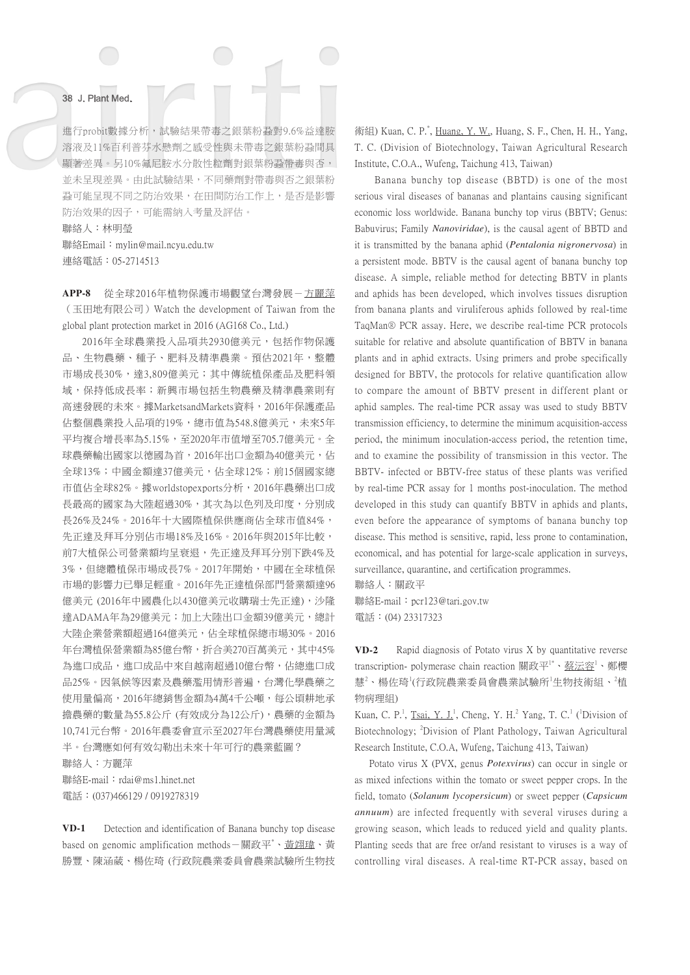進行probit數據分析,試驗結果帶毒之銀葉粉蝨對9.6%益達胺 溶液及11%百利普芬水懸劑之感受性與未帶毒之銀葉粉蝨間具 顯著差異。另10%氟尼胺水分散性粒劑對銀葉粉蝨帶毒與否, 並未呈現差異。由此試驗結果,不同藥劑對帶毒與否之銀葉粉 蝨可能呈現不同之防治效果,在田間防治工作上,是否是影響 防治效果的因子,可能需納入考量及評估。

聯絡人:林明瑩 聯絡Email:mylin@mail.ncyu.edu.tw 連絡電話:05-2714513

**APP-8** 從全球2016年植物保護市場觀望台灣發展-方麗萍 (玉田地有限公司)Watch the development of Taiwan from the global plant protection market in 2016 (AG168 Co., Ltd.)

2016年全球農業投入品項共2930億美元,包括作物保護 品、生物農藥、種子、肥料及精準農業。預估2021年,整體 市場成長30%,達3,809億美元;其中傳統植保產品及肥料領 域,保持低成長率;新興市場包括生物農藥及精準農業則有 高速發展的未來。據MarketsandMarkets資料,2016年保護產品 佔整個農業投入品項的19%,總市值為548.8億美元,未來5年 平均複合增長率為5.15%,至2020年市值增至705.7億美元。全 球農藥輸出國家以德國為首,2016年出口金額為40億美元,佔 全球13%;中國金額達37億美元,佔全球12%;前15個國家總 市值佔全球82%。據worldstopexports分析,2016年農藥出口成 長最高的國家為大陸超過30%,其次為以色列及印度,分別成 長26%及24%。2016年十大國際植保供應商佔全球市值84%, 先正達及拜耳分別佔市場18%及16%。2016年與2015年比較, 前7大植保公司營業額均呈衰退,先正達及拜耳分別下跌4%及 3%,但總體植保市場成長7%。2017年開始,中國在全球植保 市場的影響力已舉足輕重。2016年先正達植保部門營業額達96 億美元 (2016年中國農化以430億美元收購瑞士先正達),沙隆 達ADAMA年為29億美元;加上大陸出口金額39億美元,總計 大陸企業營業額超過164億美元,佔全球植保總市場30%。2016 年台灣植保營業額為85億台幣,折合美270百萬美元,其中45% 為進口成品,進口成品中來自越南超過10億台幣,佔總進口成 品25%。因氣候等因素及農藥濫用情形普遍,台灣化學農藥之 使用量偏高,2016年總銷售金額為4萬4千公噸,每公頃耕地承 擔農藥的數量為55.8公斤 (有效成分為12公斤),農藥的金額為 10,741元台幣。2016年農委會宣示至2027年台灣農藥使用量減 半。台灣應如何有效勾勒出未來十年可行的農業藍圖?

聯絡人:方麗萍

聯絡E-mail: rdai@ms1.hinet.net 電話:(037)466129 / 0919278319

**VD-1** Detection and identification of Banana bunchy top disease based on genomic amplification methods-關政平<sup>\*</sup>、<u>黃翊瑋</u>、黃 勝豐、陳涵葳、楊佐琦 (行政院農業委員會農業試驗所生物技

 $\hat{m}$  (E) Kuan, C. P.<sup>\*</sup>, Huang, Y. W., Huang, S. F., Chen, H. H., Yang, T. C. (Division of Biotechnology, Taiwan Agricultural Research Institute, C.O.A., Wufeng, Taichung 413, Taiwan)

Banana bunchy top disease (BBTD) is one of the most serious viral diseases of bananas and plantains causing significant economic loss worldwide. Banana bunchy top virus (BBTV; Genus: Babuvirus; Family *Nanoviridae*), is the causal agent of BBTD and it is transmitted by the banana aphid (*Pentalonia nigronervosa*) in a persistent mode. BBTV is the causal agent of banana bunchy top disease. A simple, reliable method for detecting BBTV in plants and aphids has been developed, which involves tissues disruption from banana plants and viruliferous aphids followed by real-time TaqMan® PCR assay. Here, we describe real-time PCR protocols suitable for relative and absolute quantification of BBTV in banana plants and in aphid extracts. Using primers and probe specifically designed for BBTV, the protocols for relative quantification allow to compare the amount of BBTV present in different plant or aphid samples. The real-time PCR assay was used to study BBTV transmission efficiency, to determine the minimum acquisition-access period, the minimum inoculation-access period, the retention time, and to examine the possibility of transmission in this vector. The BBTV- infected or BBTV-free status of these plants was verified by real-time PCR assay for 1 months post-inoculation. The method developed in this study can quantify BBTV in aphids and plants, even before the appearance of symptoms of banana bunchy top disease. This method is sensitive, rapid, less prone to contamination, economical, and has potential for large-scale application in surveys, surveillance, quarantine, and certification programmes.

聯絡人:關政平

聯絡E-mail: pcr123@tari.gov.tw 電話:(04) 23317323

**VD-2** Rapid diagnosis of Potato virus X by quantitative reverse transcription- polymerase chain reaction 關政平'\*、鏊沄容'、鄭櫻 慧<sup>2</sup>、楊佐琦<sup>1</sup>(行政院農業委員會農業試驗所<sup>1</sup>生物技術組、<sup>2</sup>植 物病理組)

Kuan, C. P.<sup>1</sup>, Tsai, Y. J.<sup>1</sup>, Cheng, Y. H.<sup>2</sup> Yang, T. C.<sup>1</sup> (<sup>1</sup>Division of Biotechnology; <sup>2</sup> Division of Plant Pathology, Taiwan Agricultural Research Institute, C.O.A, Wufeng, Taichung 413, Taiwan)

 Potato virus X (PVX, genus *Potexvirus*) can occur in single or as mixed infections within the tomato or sweet pepper crops. In the field, tomato (*Solanum lycopersicum*) or sweet pepper (*Capsicum annuum*) are infected frequently with several viruses during a growing season, which leads to reduced yield and quality plants. Planting seeds that are free or/and resistant to viruses is a way of controlling viral diseases. A real-time RT-PCR assay, based on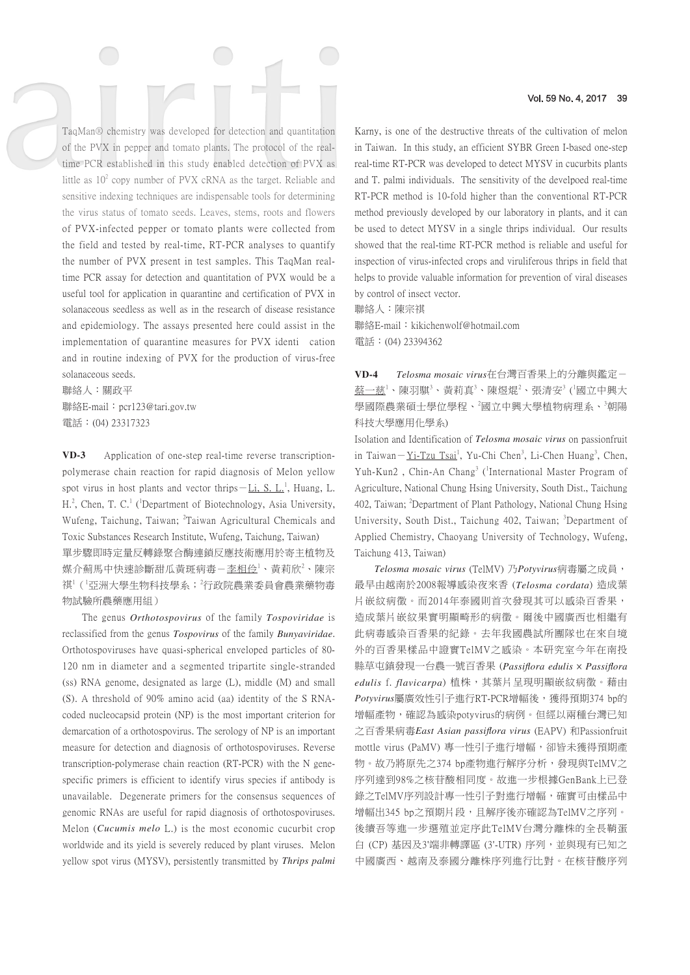TaqMan® chemistry was developed for detection and quantitation of the PVX in pepper and tomato plants. The protocol of the realtime PCR established in this study enabled detection of PVX as little as  $10^2$  copy number of PVX cRNA as the target. Reliable and sensitive indexing techniques are indispensable tools for determining the virus status of tomato seeds. Leaves, stems, roots and flowers of PVX-infected pepper or tomato plants were collected from the field and tested by real-time, RT-PCR analyses to quantify the number of PVX present in test samples. This TaqMan realtime PCR assay for detection and quantitation of PVX would be a useful tool for application in quarantine and certification of PVX in solanaceous seedless as well as in the research of disease resistance and epidemiology. The assays presented here could assist in the implementation of quarantine measures for PVX identi cation and in routine indexing of PVX for the production of virus-free solanaceous seeds.

聯絡人:關政平 聯絡E-mail: pcr123@tari.gov.tw 電話:(04) 23317323

**VD-3** Application of one-step real-time reverse transcriptionpolymerase chain reaction for rapid diagnosis of Melon yellow spot virus in host plants and vector thrips  $-Li$ , S.  $L<sup>1</sup>$ , Huang, L. H.<sup>2</sup>, Chen, T. C.<sup>1</sup> (<sup>1</sup>Department of Biotechnology, Asia University, Wufeng, Taichung, Taiwan; <sup>2</sup>Taiwan Agricultural Chemicals and Toxic Substances Research Institute, Wufeng, Taichung, Taiwan) 單步驟即時定量反轉錄聚合酶連鎖反應技術應用於寄主植物及 媒介薊馬中快速診斷甜瓜黃斑病毒-李相伶<sup>1</sup>、黃莉欣<sup>2</sup>、陳宗 祺<sup>1</sup>(「亞洲大學生物科技學系;<sup>2</sup>行政院農業委員會農業藥物毒 物試驗所農藥應用組)

The genus *Orthotospovirus* of the family *Tospoviridae* is reclassified from the genus *Tospovirus* of the family *Bunyaviridae*. Orthotospoviruses have quasi-spherical enveloped particles of 80- 120 nm in diameter and a segmented tripartite single-stranded (ss) RNA genome, designated as large (L), middle (M) and small (S). A threshold of 90% amino acid (aa) identity of the S RNAcoded nucleocapsid protein (NP) is the most important criterion for demarcation of a orthotospovirus. The serology of NP is an important measure for detection and diagnosis of orthotospoviruses. Reverse transcription-polymerase chain reaction (RT-PCR) with the N genespecific primers is efficient to identify virus species if antibody is unavailable. Degenerate primers for the consensus sequences of genomic RNAs are useful for rapid diagnosis of orthotospoviruses. Melon (*Cucumis melo* L.) is the most economic cucurbit crop worldwide and its yield is severely reduced by plant viruses. Melon yellow spot virus (MYSV), persistently transmitted by *Thrips palmi*

Karny, is one of the destructive threats of the cultivation of melon in Taiwan. In this study, an efficient SYBR Green I-based one-step real-time RT-PCR was developed to detect MYSV in cucurbits plants and T. palmi individuals. The sensitivity of the develpoed real-time RT-PCR method is 10-fold higher than the conventional RT-PCR method previously developed by our laboratory in plants, and it can be used to detect MYSV in a single thrips individual. Our results showed that the real-time RT-PCR method is reliable and useful for inspection of virus-infected crops and viruliferous thrips in field that helps to provide valuable information for prevention of viral diseases by control of insect vector.

聯絡人:陳宗祺 聯絡E-mail: kikichenwolf@hotmail.com 電話:(04) 23394362

**VD-4** *Telosma mosaic virus*在台灣百香果上的分離與鑑定- 蔡一慈<sup>1</sup>、陳羽騏<sup>3</sup>、黃莉真<sup>3</sup>、陳煜焜<sup>2</sup>、張清安<sup>3</sup>(『國立中興大 學國際農業碩士學位學程、<sup>2</sup>國立中興大學植物病理系、<sup>3</sup>朝陽 科技大學應用化學系)

Isolation and Identification of *Telosma mosaic virus* on passionfruit in Taiwan - Yi-Tzu Tsai<sup>1</sup>, Yu-Chi Chen<sup>3</sup>, Li-Chen Huang<sup>3</sup>, Chen, Yuh-Kun2, Chin-An Chang<sup>3</sup> (<sup>1</sup>International Master Program of Agriculture, National Chung Hsing University, South Dist., Taichung 402, Taiwan; <sup>2</sup>Department of Plant Pathology, National Chung Hsing University, South Dist., Taichung 402, Taiwan; 3Department of Applied Chemistry, Chaoyang University of Technology, Wufeng, Taichung 413, Taiwan)

*Telosma mosaic virus* (TelMV) 乃*Potyvirus*病毒屬之成員, 最早由越南於2008報導感染夜來香 (*Telosma cordata*) 造成葉 片嵌紋病徵。而2014年泰國則首次發現其可以感染百香果, 造成葉片嵌紋果實明顯畸形的病徵。爾後中國廣西也相繼有 此病毒感染百香果的紀錄。去年我國農試所團隊也在來自境 外的百香果樣品中證實TelMV之感染。本研究室今年在南投 縣草屯鎮發現一台農一號百香果 (*Passiflora edulis* × *Passiflora edulis* f. *flavicarpa*) 植株,其葉片呈現明顯嵌紋病徵。藉由  $Potvirus$ 屬廣效性引子進行RT-PCR增幅後,獲得預期374 bp的 增幅產物,確認為感染potyvirus的病例。但經以兩種台灣已知 之百香果病毒*East Asian passiflora virus* (EAPV) 和Passionfruit mottle virus (PaMV) 專一性引子進行增幅, 卻皆未獲得預期產 物。故乃將原先之374 bp產物進行解序分析,發現與TelMV之 序列達到98%之核苷酸相同度。故進一步根據GenBank上已登 錄之TelMV序列設計專一性引子對進行增幅,確實可由樣品中 增幅出345 bp之預期片段,且解序後亦確認為TelMV之序列。 後續吾等進一步選殖並定序此TelMV台灣分離株的全長鞘蛋 白 (CP) 基因及3'端非轉譯區 (3'-UTR) 序列,並與現有已知之 中國廣西、越南及泰國分離株序列進行比對。在核苷酸序列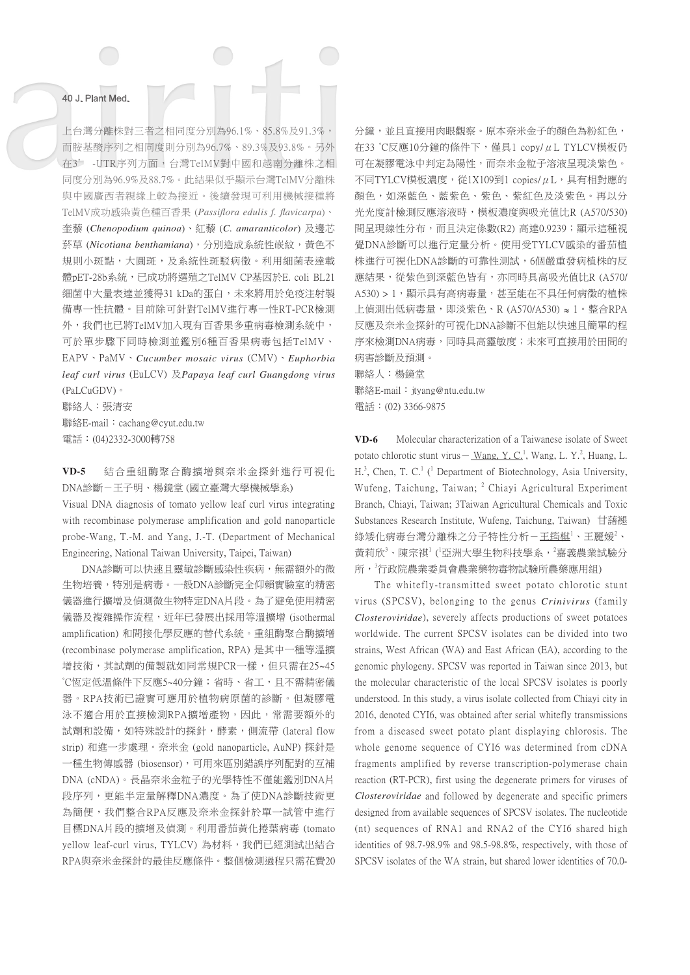上台灣分離株對三者之相同度分別為96.1%、85.8%及91.3%, 而胺基酸序列之相同度則分別為96.7%、89.3%及93.8%。另外 在3' -UTR序列方面,台灣TelMV對中國和越南分離株之相 同度分別為96.9%及88.7%。此結果似乎顯示台灣TelMV分離株 與中國廣西者親緣上較為接近。後續發現可利用機械接種將 TelMV成功感染黃色種百香果 (*Passiflora edulis f. flavicarpa*)、 奎藜 (*Chenopodium quinoa*)、紅藜 (*C. amaranticolor*) 及邊芯 菸草 (*Nicotiana benthamiana*),分別造成系統性嵌紋,黃色不 規則小斑點,大圓斑,及系統性斑駁病徵。利用細菌表達載 體pET-28b系統,已成功將選殖之TelMV CP基因於E. coli BL21 細菌中大量表達並獲得31 kDa的蛋白,未來將用於免疫注射製 備專一性抗體。目前除可針對TelMV進行專一性RT-PCR檢測 外,我們也已將TelMV加入現有百香果多重病毒檢測系統中, 可於單步驟下同時檢測並鑑別6種百香果病毒包括TelMV、 EAPV、PaMV、*Cucumber mosaic virus* (CMV)、*Euphorbia leaf curl virus* (EuLCV) 及*Papaya leaf curl Guangdong virus* (PaLCuGDV)。

聯絡人:張清安 聯絡E-mail: cachang@cyut.edu.tw 電話:(04)2332-3000轉758

**VD-5** 結合重組酶聚合酶擴增與奈米金探針進行可視化 DNA診斷-王子明、楊鏡堂 (國立臺灣大學機械學系)

Visual DNA diagnosis of tomato yellow leaf curl virus integrating with recombinase polymerase amplification and gold nanoparticle probe-Wang, T.-M. and Yang, J.-T. (Department of Mechanical Engineering, National Taiwan University, Taipei, Taiwan)

DNA診斷可以快速且靈敏診斷感染性疾病,無需額外的微 生物培養,特別是病毒。一般DNA診斷完全仰賴實驗室的精密 儀器進行擴增及偵測微生物特定DNA片段。為了避免使用精密 儀器及複雜操作流程, 折年已發展出採用等溫擴增 (isothermal amplification) 和間接化學反應的替代系統。重組酶聚合酶擴增 (recombinase polymerase amplification, RPA) 是其中一種等溫擴 增技術,其試劑的備製就如同常規PCR一樣,但只需在25~45 °C恆定低溫條件下反應5~40分鐘;省時、省工,且不需精密儀 器。RPA技術已證實可應用於植物病原菌的診斷。但凝膠電 泳不適合用於直接檢測RPA擴增產物,因此,常需要額外的 試劑和設備,如特殊設計的探針,酵素,側流帶 (lateral flow strip) 和進一步處理。奈米金 (gold nanoparticle, AuNP) 探針是 一種生物傳感器 (biosensor),可用來區別錯誤序列配對的互補 DNA (cNDA)。長晶奈米金粒子的光學特性不僅能鑑別DNA片 段序列,更能半定量解釋DNA濃度。為了使DNA診斷技術更 為簡便,我們整合RPA反應及奈米金探針於單一試管中進行 目標DNA片段的擴增及偵測。利用番茄黃化捲葉病毒 (tomato vellow leaf-curl virus, TYLCV) 為材料,我們已經測試出結合 RPA與奈米金探針的最佳反應條件。整個檢測過程只需花費20

分鐘,並且直接用肉眼觀察。原本奈米金子的顏色為粉紅色, 在33 °C反應10分鐘的條件下,僅具1 copy/μL TYLCV模板仍 可在凝膠電泳中判定為陽性,而奈米金粒子溶液呈現淡紫色。  $\overline{\text{F}}$ 同TYLCV模板濃度,從1X109到1 copies/ $\mu$ L,具有相對應的 顏色,如深藍色、藍紫色、紫色、紫紅色及淡紫色。再以分 光光度計檢測反應溶液時,模板濃度與吸光值比R (A570/530) 間呈現線性分布,而且決定係數(R2) 高達0.9239;顯示這種視 覺DNA診斷可以進行定量分析。使用受TYLCV感染的番茄植 株進行可視化DNA診斷的可靠性測試,6個嚴重發病植株的反 應結果,從紫色到深藍色皆有,亦同時具高吸光值比R (A570/ A530) > 1, 顯示具有高病毒量,甚至能在不具任何病徵的植株 上偵測出低病毒量,即淡紫色、R (A570/A530) ≈ 1。整合RPA 反應及奈米金探針的可視化DNA診斷不但能以快速且簡單的程 序來檢測DNA病毒,同時具高靈敏度;未來可直接用於田間的 病害診斷及預測。

聯絡人:楊鏡堂 聯絡E-mail: ityang@ntu.edu.tw 電話:(02) 3366-9875

**VD-6** Molecular characterization of a Taiwanese isolate of Sweet potato chlorotic stunt virus – Wang, Y. C.<sup>1</sup>, Wang, L. Y.<sup>2</sup>, Huang, L. H.<sup>3</sup>, Chen, T. C.<sup>1</sup> (<sup>1</sup> Department of Biotechnology, Asia University, Wufeng, Taichung, Taiwan; <sup>2</sup> Chiayi Agricultural Experiment Branch, Chiayi, Taiwan; 3Taiwan Agricultural Chemicals and Toxic Substances Research Institute, Wufeng, Taichung, Taiwan) 甘藷褪 綠矮化病毒台灣分離株之分子特性分析-王<u>筠棋</u>1、王麗媛<sup>2</sup>、 黃莉欣<sup>3</sup>、陳宗祺<sup>1</sup>(亞洲大學生物科技學系,<sup>2</sup>嘉義農業試驗分 所,<sup>3</sup>行政院農業委員會農業藥物毒物試驗所農藥應用組)

The whitefly-transmitted sweet potato chlorotic stunt virus (SPCSV), belonging to the genus *Crinivirus* (family *Closteroviridae*), severely affects productions of sweet potatoes worldwide. The current SPCSV isolates can be divided into two strains, West African (WA) and East African (EA), according to the genomic phylogeny. SPCSV was reported in Taiwan since 2013, but the molecular characteristic of the local SPCSV isolates is poorly understood. In this study, a virus isolate collected from Chiayi city in 2016, denoted CYI6, was obtained after serial whitefly transmissions from a diseased sweet potato plant displaying chlorosis. The whole genome sequence of CYI6 was determined from cDNA fragments amplified by reverse transcription-polymerase chain reaction (RT-PCR), first using the degenerate primers for viruses of *Closteroviridae* and followed by degenerate and specific primers designed from available sequences of SPCSV isolates. The nucleotide (nt) sequences of RNA1 and RNA2 of the CYI6 shared high identities of 98.7-98.9% and 98.5-98.8%, respectively, with those of SPCSV isolates of the WA strain, but shared lower identities of 70.0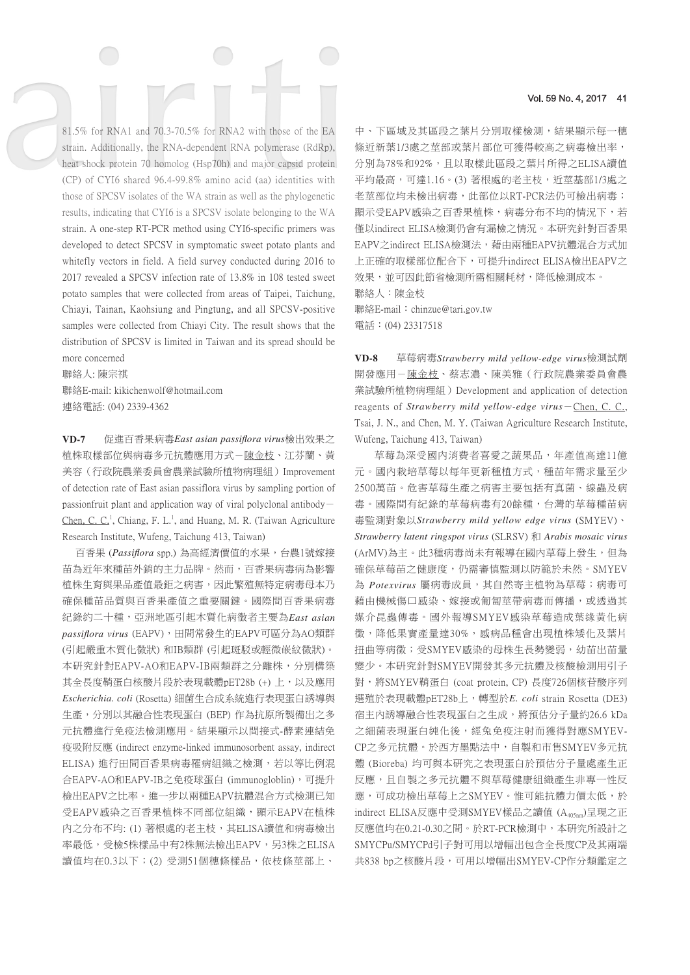81.5% for RNA1 and 70.3-70.5% for RNA2 with those of the EA strain. Additionally, the RNA-dependent RNA polymerase (RdRp), heat shock protein 70 homolog (Hsp70h) and major capsid protein (CP) of CYI6 shared 96.4-99.8% amino acid (aa) identities with those of SPCSV isolates of the WA strain as well as the phylogenetic results, indicating that CYI6 is a SPCSV isolate belonging to the WA strain. A one-step RT-PCR method using CYI6-specific primers was developed to detect SPCSV in symptomatic sweet potato plants and whitefly vectors in field. A field survey conducted during 2016 to 2017 revealed a SPCSV infection rate of 13.8% in 108 tested sweet potato samples that were collected from areas of Taipei, Taichung, Chiayi, Tainan, Kaohsiung and Pingtung, and all SPCSV-positive samples were collected from Chiayi City. The result shows that the distribution of SPCSV is limited in Taiwan and its spread should be more concerned

聯絡人: 陳宗祺 聯絡E-mail: kikichenwolf@hotmail.com 連絡電話: (04) 2339-4362

**VD-7** 促進百香果病毒*East asian passiflora virus*檢出效果之 植株取樣部位與病毒多元抗體應用方式-陳金枝、江芬蘭、黃 美容(行政院農業委員會農業試驗所植物病理組)Improvement of detection rate of East asian passiflora virus by sampling portion of passionfruit plant and application way of viral polyclonal antibody  $-$ Chen, C. C.<sup>1</sup>, Chiang, F. L.<sup>1</sup>, and Huang, M. R. (Taiwan Agriculture Research Institute, Wufeng, Taichung 413, Taiwan)

 百香果 (*Passiflora* spp.) 為高經濟價值的水果,台農1號嫁接 苗為近年來種苗外銷的主力品牌。然而,百香果病毒病為影響 植株生育與果品產值最鉅之病害,因此繁殖無特定病毒母本乃 確保種苗品質與百香果產值之重要關鍵。國際間百香果病毒 紀錄約二十種,可洲地區引起木質化病徵者主要為*East asian*  $passiflora \, virus$  (EAPV), 田間常發生的EAPV可區分為AO類群 (引起嚴重木質化徵狀) 和IB類群 (引起斑駁或輕微嵌紋徵狀)。 本研究針對EAPV-AO和EAPV-IB兩類群之分離株,分別構築 其全長度鞘蛋白核酸片段於表現載體pET28b (+) 上, 以及應用 *Escherichia. coli* (Rosetta) 細菌生合成系統進行表現蛋白誘導與 生產,分別以其融合性表現蛋白 (BEP) 作為抗原所製備出之多 元抗體進行免疫法檢測應用。結果顯示以間接式-酵素連結免 疫吸附反應 (indirect enzyme-linked immunosorbent assay, indirect ELISA) 進行田間百香果病毒罹病組織之檢測, 若以等比例混 合EAPV-AO和EAPV-IB之免疫球蛋白 (immunogloblin),可提升 檢出EAPV之比率。進一步以兩種EAPV抗體混合方式檢測已知 受EAPV感染之百香果植株不同部位組織,顯示EAPV在植株 內之分布不均: (1) 著根處的老主枝, 其ELISA讀值和病毒檢出 率最低,受檢5株樣品中有2株無法檢出EAPV,另3株之ELISA 讀值均在0.3以下;(2) 受測51個穗條樣品,依枝條莖部上、

### Vol. 59 No. 4, 2017 41

中、下區域及其區段之葉片分別取樣檢測,結果顯示每一穗 條近新葉1/3處之莖部或葉片部位可獲得較高之病毒檢出率, 分別為78%和92%,且以取樣此區段之葉片所得之ELISA讀值 平均最高,可達1.16。(3) 著根處的老主枝,近莖基部1/3處之 老莖部位均未檢出病毒,此部位以RT-PCR法仍可檢出病毒; 顯示受EAPV感染之百香果植株,病毒分布不均的情況下,若 僅以indirect ELISA檢測仍會有漏檢之情況。本研究針對百香果 EAPV之indirect ELISA檢測法,藉由兩種EAPV抗體混合方式加 上正確的取樣部位配合下,可提升indirect ELISA檢出EAPV之 效果,並可因此節省檢測所需相關耗材,降低檢測成本。 聯絡人:陳金枝 聯絡E-mail: chinzue@tari.gov.tw

電話:(04) 23317518

**VD-8** 草莓病毒*Strawberry mild yellow-edge virus*檢測試劑 開發應用-陳金枝、蔡志濃、陳美雅(行政院農業委員會農 業試驗所植物病理組)Development and application of detection reagents of *Strawberry mild yellow-edge virus*-Chen, C. C., Tsai, J. N., and Chen, M. Y. (Taiwan Agriculture Research Institute, Wufeng, Taichung 413, Taiwan)

草莓為深受國內消費者喜愛之蔬果品,年產值高達11億 元。國內栽培草莓以每年更新種植方式,種苗年需求量至少 2500萬苗。危害草莓生產之病害主要包括有真菌、線蟲及病 毒。國際間有紀錄的草莓病毒有20餘種,台灣的草莓種苗病 毒監測對象以*Strawberry mild yellow edge virus* (SMYEV)、 *Strawberry latent ringspot virus* (SLRSV) 和 *Arabis mosaic virus* (ArMV)為主。此3種病毒尚未有報導在國內草莓上發生,但為 確保草莓苗之健康度,仍需審慎監測以防範於未然。SMYEV 為 Potexvirus 屬病毒成員,其自然寄主植物為草莓;病毒可 藉由機械傷口感染、嫁接或匍匐莖帶病毒而傳播,或透過其 媒介昆蟲傳毒。國外報導SMYEV感染草莓造成葉緣黃化病 徵,降低果實產量達30%,感病品種會出現植株矮化及葉片 扭曲等病徵;受SMYEV感染的母株生長勢變弱,幼苗出苗量 變少。本研究針對SMYEV開發其多元抗體及核酸檢測用引子 對,將SMYEV鞘蛋白 (coat protein, CP) 長度726個核苷酸序列 選殖於表現載體pET28b上,轉型於*E. coli* strain Rosetta (DE3) 宿主内誘導融合性表現蛋白之生成,將預估分子量約26.6 kDa 之細菌表現蛋白純化後,經兔免疫注射而獲得對應SMYEV-CP之多元抗體。於西方墨點法中,自製和市售SMYEV多元抗 體 (Bioreba) 均可與本研究之表現蛋白於預估分子量處產生正 反應,且自製之多元抗體不與草莓健康組織產生非專一性反 應,可成功檢出草莓上之SMYEV。惟可能抗體力價太低,於 indirect ELISA反應中受測SMYEV樣品之讀值 (A405nm)呈現之正 反應值均在0.21-0.30之間。於RT-PCR檢測中,本研究所設計之 SMYCPu/SMYCPd引子對可用以增幅出包含全長度CP及其兩端 共838 bp之核酸片段,可用以增幅出SMYEV-CP作分類鑑定之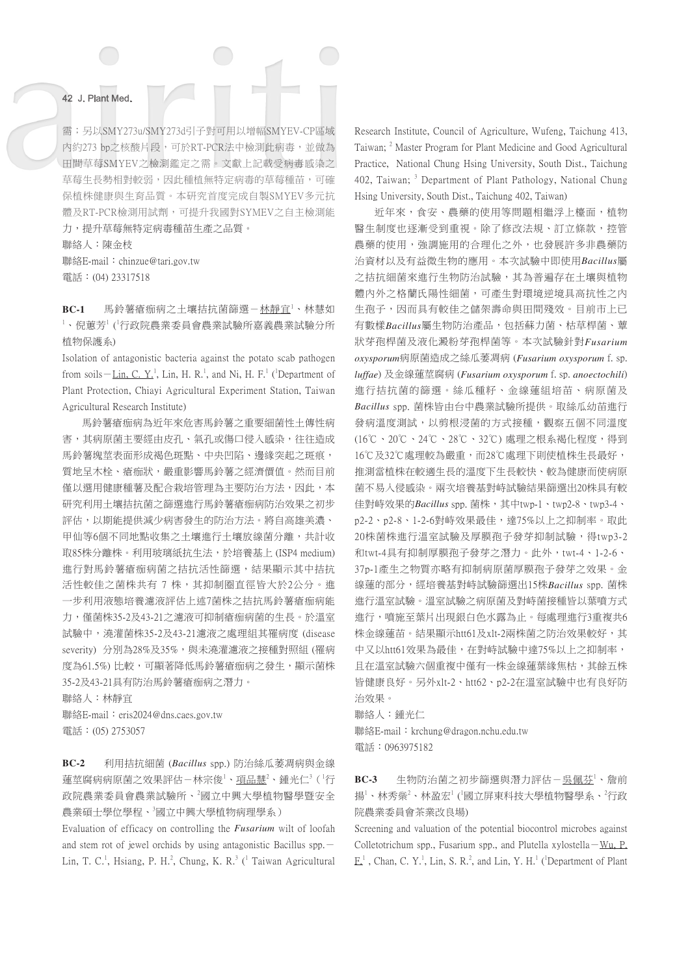需;另以SMY273u/SMY273d引子對可用以增幅SMYEV-CP區域 內約273 bp之核酸片段,可於RT-PCR法中檢測此病毒,並做為 田間草莓SMYEV之檢測鑑定之需。文獻上記載受病毒感染之 草莓生長勢相對較弱,因此種植無特定病毒的草莓種苗,可確 保植株健康與生育品質。本研究首度完成自製SMYEV多元抗 體及RT-PCR檢測用試劑,可提升我國對SYMEV之自主檢測能 力,提升草莓無特定病毒種苗生產之品質。

聯絡人:陳金枝 聯絡E-mail: chinzue@tari.gov.tw 電話:(04) 23317518

BC-1 馬鈴薯瘡痂病之土壤拮抗菌篩選-<u>林靜宜'</u>、林慧如  $^1$ 、倪蕙芳 $^1$  ('行政院農業委員會農業試驗所嘉義農業試驗分所 植物保護系)

Isolation of antagonistic bacteria against the potato scab pathogen from soils -Lin, C. Y.<sup>1</sup>, Lin, H. R.<sup>1</sup>, and Ni, H. F.<sup>1</sup> (<sup>1</sup>Department of Plant Protection, Chiayi Agricultural Experiment Station, Taiwan Agricultural Research Institute)

馬鈴薯瘡痂病為近年來危害馬鈴薯之重要細菌性土傳性病 害,其病原菌主要經由皮孔、氣孔或傷口侵入感染,往往造成 馬鈴薯塊莖表面形成褐色斑點、中央凹陷、邊緣突起之斑痕, 質地呈木栓、瘡痂狀,嚴重影響馬鈴薯之經濟價值。然而目前 僅以選用健康種薯及配合栽培管理為主要防治方法,因此,本 研究利用土壤拮抗菌之篩選進行馬鈴薯瘡痂病防治效果之初步 評估,以期能提供減少病害發生的防治方法。將自高雄美濃、 甲仙等6個不同地點收集之土壤進行土壤放線菌分離,共計收 取85株分離株。利用玻璃紙抗生法,於培養基上 (ISP4 medium) 進行對馬鈴薯瘡痂病菌之拮抗活性篩選,結果顯示其中拮抗 活性較佳之菌株共有 7 株,其抑制圈直徑皆大於2公分。進 一步利用液態培養濾液評估上述7菌株之拮抗馬鈴薯瘡痂病能 力,僅菌株35-2及43-21之濾液可抑制瘡痂病菌的生長。於溫室 試驗中,澆灌菌株35-2及43-21濾液之處理組其罹病度 (disease severity) 分別為28%及35%,與未澆灌濾液之接種對照組 (罹病 度為61.5%) 比較,可顯著降低馬鈴薯瘡痂病之發生,顯示菌株 35-2及43-21具有防治馬鈴薯瘡痂病之潛力。

聯絡人:林靜宜

聯絡E-mail: eris2024@dns.caes.gov.tw 電話:(05) 2753057

**BC-2** 利用拮抗細菌 (*Bacillus* spp.) 防治絲瓜萎凋病與金線 蓮莖腐病病原菌之效果評估-林宗俊<sup>1</sup>、<u>項品慧<sup>2</sup>、鍾光仁<sup>3</sup>('行</u> 政院農業委員會農業試驗所、<sup>2</sup>國立中興大學植物醫學暨安全 農業碩士學位學程、『國立中興大學植物病理學系)

Evaluation of efficacy on controlling the *Fusarium* wilt of loofah and stem rot of jewel orchids by using antagonistic Bacillus  $spp$ . Lin, T. C.<sup>1</sup>, Hsiang, P. H.<sup>2</sup>, Chung, K. R.<sup>3</sup> (<sup>1</sup> Taiwan Agricultural

Research Institute, Council of Agriculture, Wufeng, Taichung 413, Taiwan; <sup>2</sup> Master Program for Plant Medicine and Good Agricultural Practice, National Chung Hsing University, South Dist., Taichung 402, Taiwan; <sup>3</sup> Department of Plant Pathology, National Chung Hsing University, South Dist., Taichung 402, Taiwan)

近年來,食安、農藥的使用等問題相繼浮上檯面,植物 醫生制度也逐漸受到重視。除了修改法規、訂立條款,控管 農藥的使用,強調施用的合理化之外,也發展許多非農藥防 治資材以及有益微生物的應用。本次試驗中即使用*Bacillus*屬 之拮抗細菌來進行生物防治試驗,其為普遍存在土壤與植物 體內外之格蘭氏陽性細菌,可產生對環境逆境具高抗性之內 生孢子,因而具有較佳之儲架壽命與田間殘效。目前市上已 有數樣*Bacillus*屬生物防治產品,包括蘇力菌、枯草桿菌、蕈 狀芽孢桿菌及液化澱粉芽孢桿菌等。本次試驗針對*Fusarium oxysporum*病原菌造成之絲瓜萎凋病 (*Fusarium oxysporum* f. sp. *luffae*) 及金線蓮莖腐病 (*Fusarium oxysporum* f. sp. *anoectochili*) 進行拮抗菌的篩選。絲瓜種籽、金線蓮組培苗、病原菌及 *Bacillus* spp. 菌株皆由台中農業試驗所提供。取絲瓜幼苗進行 發病溫度測試,以剪根浸菌的方式接種,觀察五個不同溫度 (16℃、20℃、24℃、28℃、32℃) 處理之根系褐化程度,得到 16℃及32℃處理較為嚴重,而28℃處理下則使植株生長最好, 推測當植株在較適生長的溫度下生長較快、較為健康而使病原 菌不易入侵感染。兩次培養基對峙試驗結果篩選出20株具有較 佳對峙效果的*Bacillus* spp. 菌株,其中twp-1、twp2-8、twp3-4、 p2-2、p2-8、1-2-6對峙效果最佳,達75%以上之抑制率。取此 20株菌株進行溫室試驗及厚膜孢子發芽抑制試驗,得twp3-2 和twt-4具有抑制厚膜孢子發芽之潛力。此外,twt-4、1-2-6、 37p-1產生之物質亦略有抑制病原菌厚膜孢子發芽之效果。金 線蓮的部分,經培養基對峙試驗篩選出15株*Bacillus* spp. 菌株 進行溫室試驗。溫室試驗之病原菌及對峙菌接種皆以葉噴方式 進行,噴施至葉片出現銀白色水露為止。每處理進行3重複共6 株金線蓮苗。結果顯示htt61及xlt-2兩株菌之防治效果較好,其 中又以htt61效果為最佳,在對峙試驗中達75%以上之抑制率, 且在溫室試驗六個重複中僅有一株金線蓮葉緣焦枯,其餘五株 皆健康良好。另外xlt-2、htt62、p2-2在溫室試驗中也有良好防 治效果。

聯絡人:鍾光仁 聯絡E-mail: krchung@dragon.nchu.edu.tw 電話:0963975182

BC-3 生物防治菌之初步篩選與潛力評估-吳<u>佩芬</u>1、詹前 揚'、林秀橤<sup>2</sup>、林盈宏<sup>1</sup> (<sup>1</sup>國立屏東科技大學植物醫學系、<sup>2</sup>行政 院農業委員會茶業改良場)

Screening and valuation of the potential biocontrol microbes against Colletotrichum spp., Fusarium spp., and Plutella xylostella-Wu, P.  $E<sup>1</sup>$ , Chan, C. Y.<sup>1</sup>, Lin, S. R.<sup>2</sup>, and Lin, Y. H.<sup>1</sup> (<sup>1</sup>Department of Plant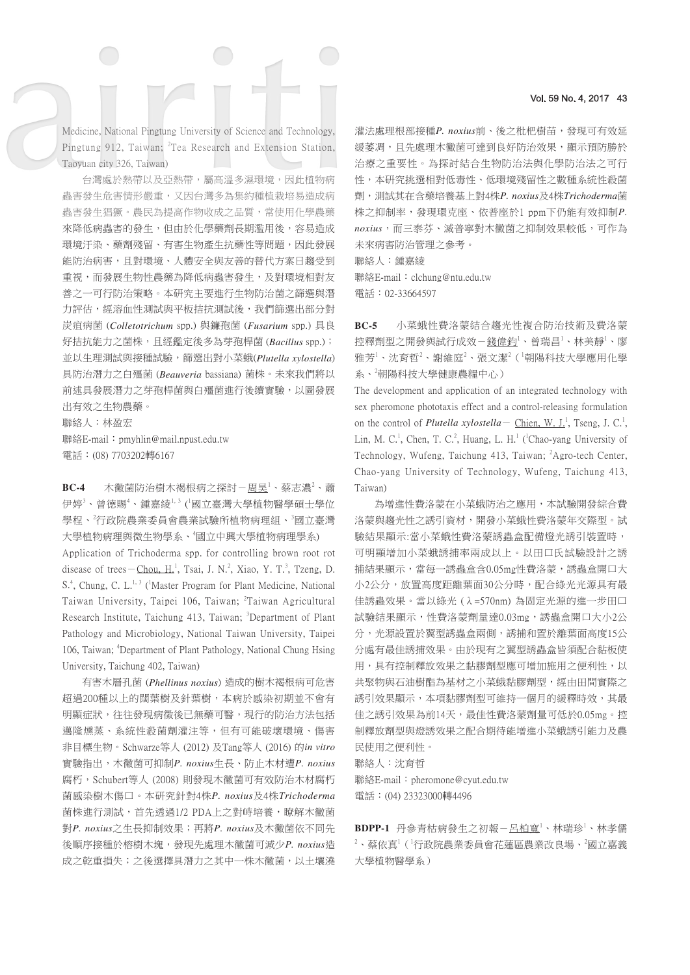#### Vol. 59 No. 4, 2017 43

Medicine, National Pingtung University of Science and Technology, Pingtung 912, Taiwan; <sup>2</sup>Tea Research and Extension Station, Taoyuan city 326, Taiwan)

台灣處於熱帶以及亞熱帶,屬高溫多濕環境,因此植物病 蟲害發生危害情形嚴重,又因台灣多為集約種植栽培易造成病 蟲害發生猖獗。農民為提高作物收成之品質,常使用化學農藥 來降低病蟲害的發生,但由於化學藥劑長期濫用後,容易造成 環境汙染、藥劑殘留、有害生物產生抗藥性等問題,因此發展 能防治病害,且對環境、人體安全與友善的替代方案日趨受到 重視,而發展生物性農藥為降低病蟲害發生,及對環境相對友 善之一可行防治策略。本研究主要進行生物防治菌之篩選與潛 力評估,經溶血性測試與平板拮抗測試後,我們篩選出部分對 炭疽病菌 (*Colletotrichum* spp.) 與鐮孢菌 (*Fusarium* spp.) 具良 好拮抗能力之菌株,且經鑑定後多為芽孢桿菌 (*Bacillus* spp.); 並以生理測試與接種試驗,篩選出對小菜蛾(*Plutella xylostella*) 具防治潛力之白殭菌 (*Beauveria* bassiana) 菌株。未來我們將以 前述具發展潛力之芽孢桿菌與白殭菌進行後續實驗,以圖發展 出有效之生物農藥。

聯絡人:林盈宏

聯絡E-mail:pmyhlin@mail.npust.edu.tw 電話:(08) 7703202轉6167

**BC-4** 木黴菌防治樹木褐根病之探討-<u>周昊<sup>1</sup>、蔡志濃<sup>2</sup>、蕭</u> 伊婷<sup>3</sup>、曾德賜<sup>4</sup>、鍾嘉綾<sup>1,3</sup> (<sup>1</sup>國立臺灣大學植物醫學碩士學位 學程、<sup>2</sup>行政院農業委員會農業試驗所植物病理組、<sup>3</sup>國立臺灣 大學植物病理與微生物學系、個立中興大學植物病理學系) Application of Trichoderma spp. for controlling brown root rot disease of trees - Chou, H.<sup>1</sup>, Tsai, J. N.<sup>2</sup>, Xiao, Y. T.<sup>3</sup>, Tzeng, D. S.<sup>4</sup>, Chung, C. L.<sup>1, 3</sup> (<sup>1</sup>Master Program for Plant Medicine, National Taiwan University, Taipei 106, Taiwan; <sup>2</sup>Taiwan Agricultural Research Institute, Taichung 413, Taiwan; <sup>3</sup>Department of Plant Pathology and Microbiology, National Taiwan University, Taipei 106, Taiwan; <sup>4</sup>Department of Plant Pathology, National Chung Hsing University, Taichung 402, Taiwan)

有害木層孔菌 (*Phellinus noxius*) 造成的樹木褐根病可危害 超過200種以上的闊葉樹及針葉樹,本病於感染初期並不會有 明顯症狀,往往發現病徵後已無藥可醫,現行的防治方法包括 邁隆燻蒸、系統性殺菌劑灌注等,但有可能破壞環境、傷害 非目標生物。Schwarze等人 (2012) 及Tang等人 (2016) 的*in vitro* 實驗指出,木黴菌可抑制*P. noxius*生長、防止木材遭*P. noxius* 腐朽,Schubert等人 (2008) 則發現木黴菌可有效防治木材腐朽 菌感染樹木傷口。本研究針對4株*P. noxius*及4株*Trichoderma* 菌株進行測試, 首先透過1/2 PDA上之對峙培養,瞭解木黴菌 對*P. noxius*之生長抑制效果;再將*P. noxius*及木黴菌依不同先 後順序接種於榕樹木塊,發現先處理木黴菌可減少*P. noxius*造 成之乾重損失;之後選擇具潛力之其中一株木黴菌,以土壤澆

灌法處理根部接種P. noxius前、後之枇杷樹苗,發現可有效延 緩萎凋,且先處理木黴菌可達到良好防治效果,顯示預防勝於 治療之重要性。為探討結合生物防治法與化學防治法之可行 性,本研究挑選相對低毒性、低環境殘留性之數種系統性殺菌 劑,測試其在含藥培養基上對4株*P. noxius*及4株*Trichoderma*菌 株之抑制率,發現環克座、依普座於1 ppm下仍能有效抑制*P. noxius*,而三泰芬、滅普寧對木黴菌之抑制效果較低,可作為 未來病害防治管理之參考。

聯絡人:鍾嘉綾 聯絡E-mail:clchung@ntu.edu.tw

電話:02-33664597

**BC-5** 小菜蛾性費洛蒙結合趨光性複合防治技術及費洛蒙 控釋劑型之開發與試行成效-<u>錢偉鈞<sup>1</sup>、曾瑞昌<sup>1</sup>、林美靜<sup>1</sup>、廖</u> 雅芳<sup>1</sup>、沈育哲<sup>2</sup>、謝維庭<sup>2</sup>、張文潔<sup>2</sup>(『朝陽科技大學應用化學 系、<sup>2</sup> 朝陽科技大學健康農糧中心)

The development and application of an integrated technology with sex pheromone phototaxis effect and a control-releasing formulation on the control of *Plutella xylostella* - Chien, W. J.<sup>1</sup>, Tseng, J. C.<sup>1</sup>, Lin, M. C.<sup>1</sup>, Chen, T. C.<sup>2</sup>, Huang, L. H.<sup>1</sup> (<sup>1</sup>Chao-yang University of Technology, Wufeng, Taichung 413, Taiwan; <sup>2</sup>Agro-tech Center, Chao-yang University of Technology, Wufeng, Taichung 413, Taiwan)

為增進性費洛蒙在小菜蛾防治之應用,本試驗開發綜合費 洛蒙與趨光性之誘引資材,開發小菜蛾性費洛蒙年交際型。試 驗結果顯示:當小菜蛾性費洛蒙誘蟲盒配備燈光誘引裝置時, 可明顯增加小菜蛾誘捕率兩成以上。以田口氏試驗設計之誘 捕結果顯示,當每一誘蟲盒含0.05mg性費洛蒙,誘蟲盒開口大 小2公分,放置高度距離葉面30公分時,配合綠光光源具有最 佳誘蟲效果。當以綠光 (λ=570nm) 為固定光源的進一步田口 試驗結果顯示,性費洛蒙劑量達0.03mg,誘蟲盒開口大小2公 分,光源設置於翼型誘蟲盒兩側,誘捕和置於離葉面高度15公 分處有最佳誘捕效果。由於現有之翼型誘蟲盒皆須配合黏板使 用,具有控制釋放效果之黏膠劑型應可增加施用之便利性,以 共聚物與石油樹酯為基材之小菜蛾黏膠劑型,經由田間實際之 誘引效果顯示,本項黏膠劑型可維持一個月的緩釋時效,其最 佳之誘引效果為前14天,最佳性費洛蒙劑量可低於0.05mg。控 制釋放劑型與燈誘效果之配合期待能增進小菜蛾誘引能力及農 民使用之便利性。

聯絡人:沈育哲 聯絡E-mail: pheromone@cyut.edu.tw 電話:(04) 23323000轉4496

BDPP-1 丹參青枯病發生之初報-呂柏寬<sup>1、</sup>林瑞珍<sup>1</sup>、林孝儒  $^{2}$ 、蔡依真 $^{1}$ ( $^{1}$ 行政院農業委員會花蓮區農業改良場、 $^{2}$ 國立嘉義 大學植物醫學系)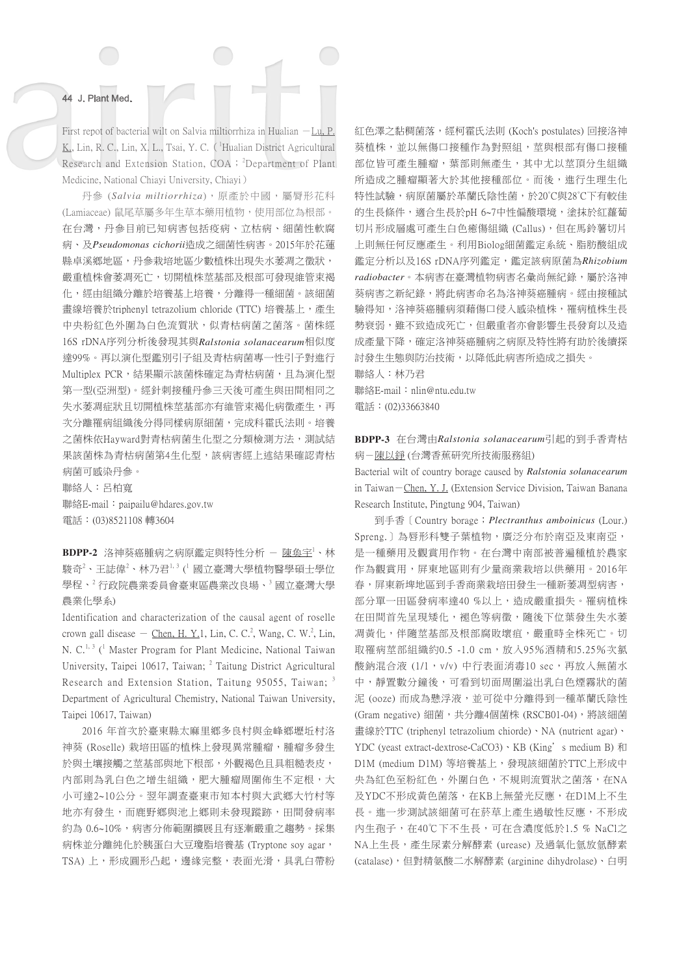First repot of bacterial wilt on Salvia miltiorrhiza in Hualian  $-Lu, P$ . K., Lin, R. C., Lin, X. L., Tsai, Y. C. (<sup>1</sup>Hualian District Agricultural Research and Extension Station, COA; <sup>2</sup>Department of Plant Medicine, National Chiayi University, Chiayi)

丹參 (*Salvia miltiorrhiza*),原產於中國,屬脣形花科 (Lamiaceae) 鼠尾草屬多年生草本藥用植物,使用部位為根部。 在台灣,丹參目前已知病害包括疫病、立枯病、細菌性軟腐 病、及*Pseudomonas cichorii*造成之細菌性病害。2015年於花蓮 縣卓溪鄉地區,丹參栽培地區少數植株出現失水萎凋之徵狀, 嚴重植株會萎凋死亡,切開植株莖基部及根部可發現維管束褐 化,經由組織分離於培養基上培養,分離得一種細菌。該細菌 畫線培養於triphenyl tetrazolium chloride (TTC) 培養基上,產生 中央粉紅色外圍為白色流質狀,似青枯病菌之菌落。菌株經 16S rDNA序列分析後發現其與*Ralstonia solanacearum*相似度 達99%。再以演化型鑑別引子組及青枯病菌專一性引子對進行 Multiplex PCR,結果顯示該菌株確定為青枯病菌,且為演化型 第一型(亞洲型)。經針刺接種丹參三天後可產生與田間相同之 失水萎凋症狀且切開植株莖基部亦有維管束褐化病徵產生,再 次分離罹病組織後分得同樣病原細菌,完成科霍氏法則。培養 之菌株依Hayward對青枯病菌生化型之分類檢測方法,測試結 果該菌株為青枯病菌第4生化型,該病害經上述結果確認青枯 病菌可感染丹參。

聯絡人:呂柏寬

聯絡E-mail:paipailu@hdares.gov.tw 電話:(03)8521108 轉3604

**BDPP-2** 洛神葵癌腫病之病原鑑定與特性分析 − <u>陳奐宇<sup>1</sup>、林</u> 駿奇<sup>2</sup>、王誌偉<sup>2</sup>、林乃君<sup>1,3</sup> (<sup>1</sup> 國立臺灣大學植物醫學碩士學位 學程、<sup>2</sup> 行政院農業委員會臺東區農業改良場、<sup>3</sup> 國立臺灣大學 農業化學系)

Identification and characterization of the causal agent of roselle crown gall disease  $-$  Chen, H. Y.1, Lin, C. C.<sup>2</sup>, Wang, C. W.<sup>2</sup>, Lin, N. C.<sup>1, 3</sup> (<sup>1</sup> Master Program for Plant Medicine, National Taiwan University, Taipei 10617, Taiwan; <sup>2</sup> Taitung District Agricultural Research and Extension Station, Taitung 95055, Taiwan; <sup>3</sup> Department of Agricultural Chemistry, National Taiwan University, Taipei 10617, Taiwan)

2016 年首次於臺東縣太麻里鄉多良村與金峰鄉壢坵村洛 神葵 (Roselle) 栽培田區的植株上發現異常腫瘤,腫瘤多發生 於與土壤接觸之莖基部與地下根部,外觀褐色且具粗糙表皮, 內部則為乳白色之增生組織,肥大腫瘤周圍佈生不定根,大 小可達2~10公分。翌年調查臺東市知本村與大武鄉大竹村等 地亦有發生,而鹿野鄉與池上鄉則未發現蹤跡,田間發病率 約為 0.6~10%,病害分佈範圍擴展且有逐漸嚴重之趨勢。採集 病株並分離純化於胰蛋白大豆瓊脂培養基 (Tryptone soy agar, TSA) 上,形成圓形凸起,邊緣完整,表面光滑,具乳白帶粉 紅色澤之黏稠菌落,經柯霍氏法則 (Koch's postulates) 回接洛神 **葵植株,並以無傷口接種作為對照組,莖與根部有傷口接種** 部位皆可產生腫瘤,葉部則無產生,其中尤以莖頂分生組織 所造成之腫瘤顯著大於其他接種部位。而後,進行生理生化 特性試驗,病原菌屬於革蘭氏陰性菌,於20°C與28°C下有較佳 的生長條件,適合生長於pH 6~7中性偏酸環境,塗抹於紅蘿蔔 切片形成層處可產生白色癒傷組織 (Callus),但在馬鈴薯切片 上則無任何反應產生。利用Biolog細菌鑑定系統、脂肪酸組成 鑑定分析以及16S rDNA序列鑑定,鑑定該病原菌為*Rhizobium radiobacter*。本病害在臺灣植物病害名彙尚無紀錄,屬於洛神 葵病害之新紀錄,將此病害命名為洛神葵癌腫病。經由接種試 驗得知,洛神葵癌腫病須藉傷口侵入感染植株,罹病植株生長 勢衰弱,雖不致造成死亡,但嚴重者亦會影響生長發育以及造 成產量下降,確定洛神葵癌腫病之病原及特性將有助於後續探 討發生生態與防治技術,以降低此病害所造成之損失。

聯絡人:林乃君 聯絡E-mail:nlin@ntu.edu.tw

電話:(02)33663840

**BDPP-3** 在台灣由*Ralstonia solanacearum*引起的到手香青枯 病-陳以錚 (台灣香蕉研究所技術服務組)

Bacterial wilt of country borage caused by *Ralstonia solanacearum* in Taiwan-Chen, Y. J. (Extension Service Division, Taiwan Banana Research Institute, Pingtung 904, Taiwan)

到手香[Country borage;*Plectranthus amboinicus* (Lour.) Spreng.)為唇形科雙子葉植物,廣泛分布於南亞及東南亞, 是一種藥用及觀賞用作物。在台灣中南部被普遍種植於農家 作為觀賞用,屏東地區則有少量商業栽培以供藥用。2016年 春,屏東新埤地區到手香商業栽培田發生一種新萎凋型病害, 部分單一田區發病率達40%以上,造成嚴重損失。罹病植株 在田間首先呈現矮化,褪色等病徵,隨後下位葉發生失水萎 凋黃化,伴隨莖基部及根部腐敗壞疽,嚴重時全株死亡。切 取罹病莖部組織約0.5 -1.0 cm,放入95%酒精和5.25%次氯 酸鈉混合液 (1/1, v/v) 中行表面消毒10 sec, 再放入無菌水 中,靜置數分鐘後,可看到切面周圍溢出乳白色煙霧狀的菌 泥 (ooze) 而成為懸浮液,並可從中分離得到一種革蘭氏陰性 (Gram negative) 細菌,共分離4個菌株 (RSCB01-04), 將該細菌 畫線於TTC (triphenyl tetrazolium chiorde)、NA (nutrient agar)、 YDC (yeast extract-dextrose-CaCO3)、KB (King's medium B) 和 D1M (medium D1M) 等培養基上,發現該細菌於TTC上形成中 央為紅色至粉紅色,外圍白色,不規則流質狀之菌落,在NA 及YDC不形成黃色菌落, 在KB上無螢光反應, 在D1M上不生 長。進一步測試該細菌可在菸草上產生過敏性反應,不形成 內生孢子,在40℃下不生長,可在含濃度低於1.5 % NaCl之 NA上生長,產生尿素分解酵素 (urease) 及過氧化氫放氫酵素 (catalase),但對精氨酸二水解酵素 (arginine dihydrolase)、白明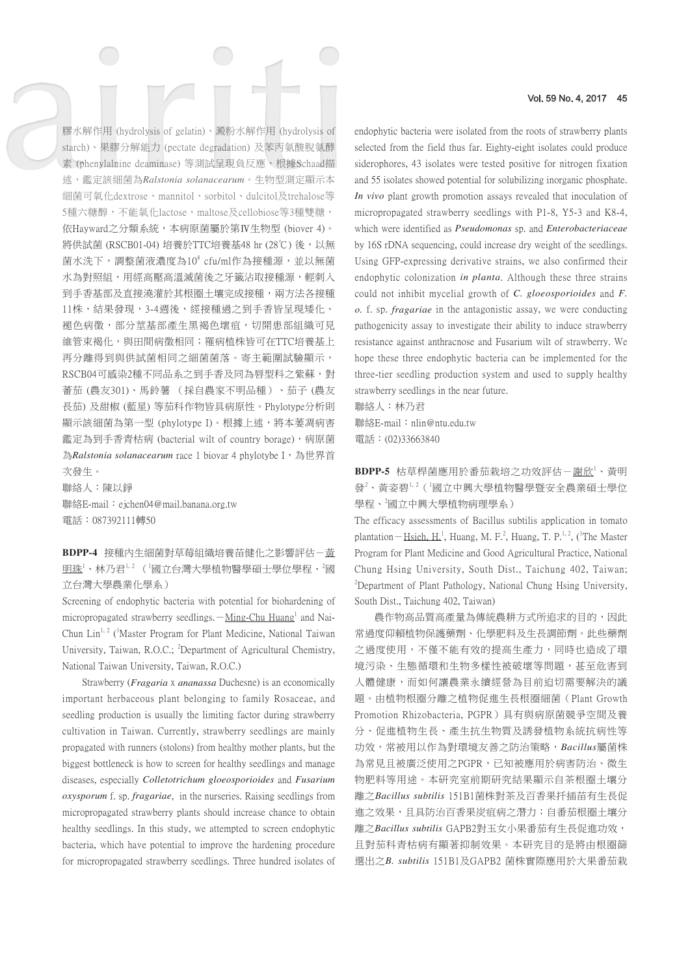膠水解作用 (hydrolysis of gelatin)、澱粉水解作用 (hydrolysis of starch)、果膠分解能力 (pectate degradation) 及苯丙氨酸脫氨酵 素 (phenylalnine deaminase) 等測試呈現負反應,根據Schaad描 述,鑑定該細菌為*Ralstonia solanacearum*。生物型測定顯示本 細菌可氧化dextrose、mannitol、sorbitol、dulcitol及trehalose等 5種六糖醇,不能氧化lactose,maltose及cellobiose等3種雙糖, 依Hayward之分類系統,本病原菌屬於第Ⅳ生物型 (biover 4)。 將供試菌 (RSCB01-04) 培養於TTC培養基48 hr (28℃) 後, 以無 菌水洗下,調整菌液濃度為10<sup>8</sup> cfu/ml作為接種源,並以無菌 水為對照組,用經高壓高溫滅菌後之牙籤沾取接種源,輕刺入 到手香基部及直接澆灌於其根圈土壤完成接種,兩方法各接種 11株,結果發現,3-4週後,經接種過之到手香皆呈現矮化、 褪色病徵,部分莖基部產生黑褐色壞疽,切開患部組織可見 維管束褐化,與田間病徵相同;罹病植株皆可在TTC培養基上 再分離得到與供試菌相同之細菌菌落。寄主範圍試驗顯示, RSCB04可感染2種不同品系之到手香及同為唇型科之紫蘇,對 蕃茄 (農友301)、馬鈴薯 (採自農家不明品種)、茄子 (農友 長茄) 及甜椒 (藍星) 等茄科作物皆具病原性。Phylotype分析則 顯示該細菌為第一型 (phylotype I)。根據上述,將本萎凋病害 鑑定為到手香青枯病 (bacterial wilt of country borage),病原菌 為*Ralstonia solanacearum* race 1 biovar 4 phylotybe I,為世界首 次發生。

聯絡人:陳以錚

聯絡E-mail: ejchen04@mail.banana.org.tw 電話:087392111轉50

**BDPP-4** 接種內生細菌對草莓組織培養苗健化之影響評估-黃 明珠<sup>1</sup>、林乃君<sup>1,2</sup>(「國立台灣大學植物醫學碩士學位學程、<sup>2</sup>國 立台灣大學農業化學系)

Screening of endophytic bacteria with potential for biohardening of micropropagated strawberry seedlings. $-Mine-Chu Huang<sup>1</sup>$  and Nai-Chun Lin<sup>1, 2</sup> (<sup>1</sup>Master Program for Plant Medicine, National Taiwan University, Taiwan, R.O.C.; <sup>2</sup>Department of Agricultural Chemistry, National Taiwan University, Taiwan, R.O.C.)

Strawberry (*Fragaria* x *ananassa* Duchesne) is an economically important herbaceous plant belonging to family Rosaceae, and seedling production is usually the limiting factor during strawberry cultivation in Taiwan. Currently, strawberry seedlings are mainly propagated with runners (stolons) from healthy mother plants, but the biggest bottleneck is how to screen for healthy seedlings and manage diseases, especially *Colletotrichum gloeosporioides* and *Fusarium oxysporum* f. sp. *fragariae*, in the nurseries. Raising seedlings from micropropagated strawberry plants should increase chance to obtain healthy seedlings. In this study, we attempted to screen endophytic bacteria, which have potential to improve the hardening procedure for micropropagated strawberry seedlings. Three hundred isolates of

#### Vol. 59 No. 4, 2017 45

endophytic bacteria were isolated from the roots of strawberry plants selected from the field thus far. Eighty-eight isolates could produce siderophores, 43 isolates were tested positive for nitrogen fixation and 55 isolates showed potential for solubilizing inorganic phosphate. *In vivo* plant growth promotion assays revealed that inoculation of micropropagated strawberry seedlings with P1-8, Y5-3 and K8-4, which were identified as *Pseudomonas* sp. and *Enterobacteriaceae* by 16S rDNA sequencing, could increase dry weight of the seedlings. Using GFP-expressing derivative strains, we also confirmed their endophytic colonization *in planta*. Although these three strains could not inhibit mycelial growth of *C. gloeosporioides* and *F. o.* f. sp. *fragariae* in the antagonistic assay, we were conducting pathogenicity assay to investigate their ability to induce strawberry resistance against anthracnose and Fusarium wilt of strawberry. We hope these three endophytic bacteria can be implemented for the three-tier seedling production system and used to supply healthy strawberry seedlings in the near future.

聯絡人:林乃君 聯絡E-mail: nlin@ntu.edu.tw 電話:(02)33663840

BDPP-5 枯草桿菌應用於番茄栽培之功效評估-謝欣<sup>1、</sup>黃明 發<sup>2</sup>、黃姿碧<sup>1,2</sup>(「國立中興大學植物醫學暨安全農業碩士學位 學程、2國立中興大學植物病理學系)

The efficacy assessments of Bacillus subtilis application in tomato plantation – Hsieh, H.<sup>1</sup>, Huang, M. F.<sup>2</sup>, Huang, T. P.<sup>1,2</sup>, (<sup>1</sup>The Master Program for Plant Medicine and Good Agricultural Practice, National Chung Hsing University, South Dist., Taichung 402, Taiwan; <sup>2</sup>Department of Plant Pathology, National Chung Hsing University, South Dist., Taichung 402, Taiwan)

農作物高品質高產量為傳統農耕方式所追求的目的,因此 常過度仰賴植物保護藥劑、化學肥料及生長調節劑。此些藥劑 之過度使用,不僅不能有效的提高生產力,同時也造成了環 境污染、生態循環和生物多樣性被破壞等問題,甚至危害到 人體健康,而如何讓農業永續經營為目前迫切需要解決的議 題。由植物根圈分離之植物促進生長根圈細菌(Plant Growth Promotion Rhizobacteria, PGPR)具有與病原菌競爭空間及養 分、促進植物生長、產生抗生物質及誘發植物系統抗病性等 功效,常被用以作為對環境友善之防治策略,*Bacillus*屬菌株 為常見且被廣泛使用之PGPR,已知被應用於病害防治、微生 物肥料等用途。本研究室前期研究結果顯示自茶根圈土壤分 離之*Bacillus subtilis* 151B1菌株對茶及百香果扦插苗有生長促 進之效果,且具防治百香果炭疽病之潛力;自番茄根圈土壤分 離之*Bacillus subtilis* GAPB2對玉女小果番茄有生長促進功效, 且對茄科青枯病有顯著抑制效果。本研究目的是將由根圈篩 選出之*B. subtilis* 151B1及GAPB2 菌株實際應用於大果番茄栽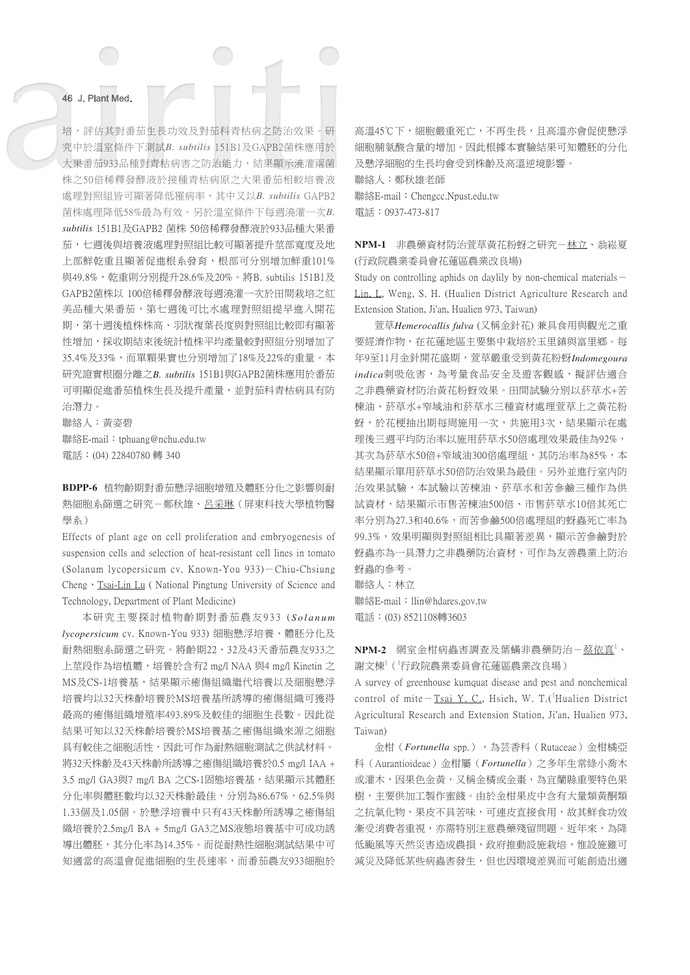培,評估其對番茄生長功效及對茄科青枯病之防治效果。研 究中於溫室條件下測試*B. subtilis* 151B1及GAPB2菌株應用於 大果番茄933品種對青枯病害之防治能力,結果顯示澆灌兩菌 株之50倍稀釋發酵液於接種青枯病原之大果番茄相較培養液 處理對照組皆可顯著降低罹病率,其中又以*B. subtilis* GAPB2 菌株處理降低58%最為有效。另於溫室條件下每週澆灌一次*B. subtilis* 151B1及GAPB2 菌株 50倍稀釋發酵液於933品種大果番 茄,七週後與培養液處理對照組比較可顯著提升莖部寬度及地 上部鮮乾重且顯著促進根系發育,根部可分別增加鮮重101% 與49.8%,乾重則分別提升28.6%及20%。將B. subtilis 151B1及 GAPB2菌株以 100倍稀釋發酵液每週澆灌一次於田間栽培之紅 美品種大果番茄,第七週後可比水處理對照組提早進入開花 期,第十週後植株株高、羽狀複葉長度與對照組比較即有顯著 性增加,採收期結束後統計植株平均產量較對照組分別增加了 35.4%及33%,而單顆果實也分別增加了18%及22%的重量。本 研究證實根圈分離之*B. subtilis* 151B1與GAPB2菌株應用於番茄 可明顯促進番茄植株生長及提升產量,並對茄科青枯病具有防 治潛力。

聯絡人:黃姿碧 聯絡E-mail:tphuang@nchu.edu.tw 電話:(04) 22840780 轉 340

**BDPP-6** 植物齡期對番茄懸浮細胞增殖及體胚分化之影響與耐 熱細胞系篩選之研究-鄭秋雄、呂采琳(屏東科技大學植物醫 學系)

Effects of plant age on cell proliferation and embryogenesis of suspension cells and selection of heat-resistant cell lines in tomato (Solanum lycopersicum cv. Known-You 933)-Chiu-Chsiung Cheng • Tsai-Lin Lu ( National Pingtung University of Science and Technology, Department of Plant Medicine)

本研究主要探討植物齡期對番茄農友933 ( *S o l a n u m lycopersicum* cv. Known-You 933) 細胞懸浮培養、體胚分化及 耐熱細胞系篩選之研究。將齡期22、32及43天番茄農友933之 上莖段作為培植體,培養於含有2 mg/l NAA 與4 mg/l Kinetin 之 MS及CS-1培養基,結果顯示癒傷組織繼代培養以及細胞懸浮 培養均以32天株齡培養於MS培養基所誘導的癒傷組織可獲得 最高的癒傷組織增殖率493.89%及較佳的細胞生長數。因此從 結果可知以32天株齡培養於MS培養基之癒傷組織來源之細胞 具有較佳之細胞活性,因此可作為耐熱細胞測試之供試材料。 將32天株齡及43天株齡所誘導之癒傷組織培養於0.5 mg/l IAA + 3.5 mg/l GA3與7 mg/l BA 之CS-1固態培養基,結果顯示其體胚 分化率與體胚數均以32天株齡最佳,分別為86.67%,62.5%與 1.33個及1.05個。於懸浮培養中只有43天株齡所誘導之癒傷組 織培養於2.5mg/l BA + 5mg/l GA3之MS液態培養基中可成功誘 導出體胚,其分化率為14.35%。而從耐熱性細胞測試結果中可 知適當的高溫會促進細胞的生長速率,而番茄農友933細胞於

高溫45℃下,細胞嚴重死亡,不再生長,且高溫亦會促使懸浮 細胞脯氨酸含量的增加。因此根據本實驗結果可知體胚的分化 及懸浮細胞的生長均會受到株齡及高溫逆境影響。 聯絡人:鄭秋雄老師 聯絡E-mail:Chengcc.Npust.edu.tw 電話:0937-473-817

**NPM-1** 非農藥資材防治萱草黃花粉蚜之研究-林立、翁崧夏 (行政院農業委員會花蓮區農業改良場)

Study on controlling aphids on daylily by non-chemical materials-Lin, L, Weng, S. H. (Hualien District Agriculture Research and Extension Station, Ji'an, Hualien 973, Taiwan)

萱草*Hemerocallis fulva* (又稱金針花) 兼具食用與觀光之重 要經濟作物,在花蓮地區主要集中栽培於玉里鎮與富里鄉。每 年9至11月金針開花盛期,萱草嚴重受到黃花粉蚜*Indomegoura indica*刺吸危害,為考量食品安全及遊客觀感,擬評估適合 之非農藥資材防治黃花粉蚜效果。田間試驗分別以菸草水+苦 楝油、菸草水+窄域油和菸草水三種資材處理萱草上之黃花粉 蚜,於花梗抽出期每周施用一次,共施用3次,結果顯示在處 理後三週平均防治率以施用菸草水50倍處理效果最佳為92%, 其次為菸草水50倍+窄域油300倍處理組,其防治率為85%,本 結果顯示單用菸草水50倍防治效果為最佳。另外並進行室內防 治效果試驗,本試驗以苦楝油、菸草水和苦參鹼三種作為供 試資材,結果顯示市售苦楝油500倍、市售菸草水10倍其死亡 率分別為27.3和40.6%,而苦參鹼500倍處理組的蚜蟲死亡率為 99.3%,效果明顯與對照組相比具顯著差異,顯示苦參鹼對於 蚜蟲亦為一具潛力之非農藥防治資材,可作為友善農業上防治 蚜蟲的參考。

聯絡人:林立

聯絡E-mail: llin@hdares.gov.tw 電話:(03) 8521108轉3603

NPM-2 網室金柑病蟲害調查及葉蟎非農藥防治–蔡依真1、 謝文棟<sup>1</sup>(「行政院農業委員會花蓮區農業改良場)

A survey of greenhouse kumquat disease and pest and nonchemical control of mite  $-Tsai$  Y. C., Hsieh, W. T. (<sup>1</sup>Hualien District Agricultural Research and Extension Station, Ji'an, Hualien 973, Taiwan)

金柑(*Fortunella* spp.),為芸香科(Rutaceae)金柑橘亞 科(Aurantioideae)金柑屬(*Fortunella*)之多年生常綠小喬木 或灌木,因果色金黃,又稱金橘或金棗,為宜蘭縣重要特色果 樹,主要供加工製作蜜餞。由於金柑果皮中含有大量類黃酮類 之抗氧化物,果皮不具苦味,可連皮直接食用,故其鮮食功效 漸受消費者重視,亦需特別注意農藥殘留問題。近年來,為降 低颱風等天然災害造成農損,政府推動設施栽培,惟設施雖可 減災及降低某些病蟲害發生,但也因環境差異而可能創造出適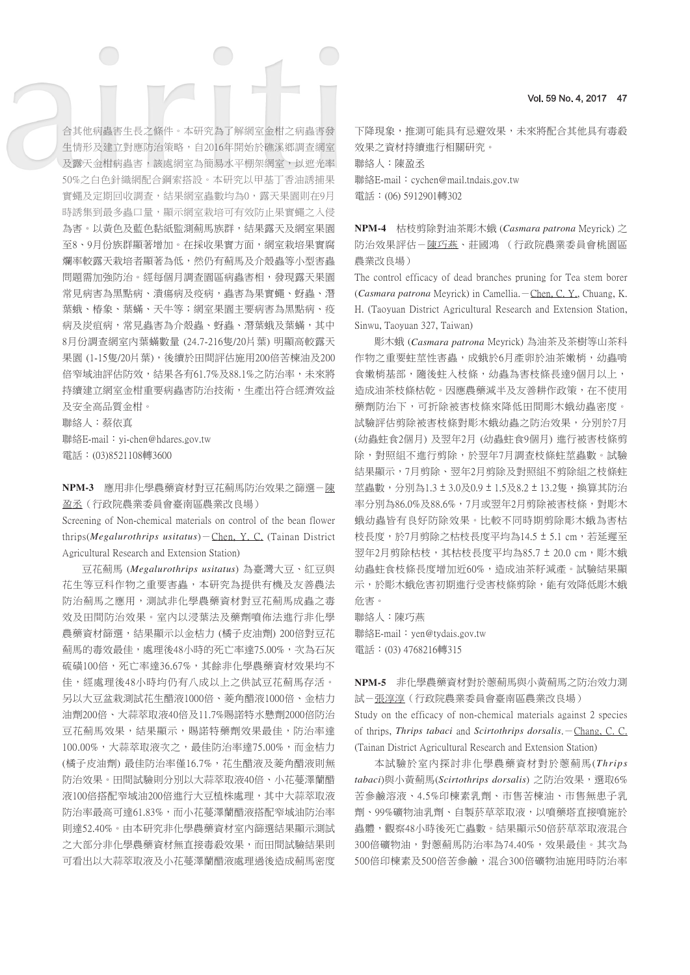合其他病蟲害生長之條件。本研究為了解網室金柑之病蟲害發 生情形及建立對應防治策略,自2016年開始於礁溪鄉調査網室 及露天金柑病蟲害,該處網室為簡易水平棚架網室,以遮光率 50%之白色針織網配合鋼索搭設。本研究以甲基丁香油誘捕果 實蠅及定期回收調查,結果網室蟲數均為0,露天果園則在9月 時誘集到最多蟲口量,顯示網室栽培可有效防止果實蠅之入侵 為害。以黃色及藍色黏紙監測薊馬族群,結果露天及網室果園 至8、9月份族群顯著增加。在採收果實方面,網室栽培果實腐 爛率較露天栽培者顯著為低,然仍有薊馬及介殼蟲等小型害蟲 問題需加強防治。經每個月調查園區病蟲害相,發現露天果園 常見病害為黑點病、潰瘍病及疫病,蟲害為果實蠅、蚜蟲、潛 葉蛾、椿象、葉蟎、天牛等;網室果園主要病害為黑點病、疫 病及炭疽病,常見蟲害為介殼蟲、蚜蟲、潛葉蛾及葉蟎,其中 8月份調查網室內葉蟎數量 (24.7-216隻/20片葉) 明顯高較露天 果園 (1-15隻/20片葉),後續於田間評估施用200倍苦楝油及200 倍窄域油評估防效,結果各有61.7%及88.1%之防治率,未來將 持續建立網室金柑重要病蟲害防治技術,生產出符合經濟效益

及安全高品質金柑。 聯絡人:蔡依真 聯絡E-mail:yi-chen@hdares.gov.tw 電話:(03)8521108轉3600

**NPM-3** 應用非化學農藥資材對豆花薊馬防治效果之篩選-陳 盈丞(行政院農業委員會臺南區農業改良場)

Screening of Non-chemical materials on control of the bean flower thrips(*Megalurothrips usitatus*)-Chen, Y. C. (Tainan District Agricultural Research and Extension Station)

豆花薊馬 (*Megalurothrips usitatus*) 為臺灣大豆、紅豆與 花生等豆科作物之重要害蟲,本研究為提供有機及友善農法 防治薊馬之應用,測試非化學農藥資材對豆花薊馬成蟲之毒 效及田間防治效果。室內以浸葉法及藥劑噴佈法進行非化學 農藥資材篩選,結果顯示以金桔力 (橘子皮油劑) 200倍對豆花 薊馬的毒效最佳,處理後48小時的死亡率達75.00%,次為石灰 硫磺100倍,死亡率達36.67%,其餘非化學農藥資材效果均不 佳,經處理後48小時均仍有八成以上之供試豆花薊馬存活。 另以大豆盆栽測試花生醋液1000倍、菱角醋液1000倍、金桔力 油劑200倍、大蒜萃取液40倍及11.7%賜諾特水懸劑2000倍防治 豆花薊馬效果,結果顯示,賜諾特藥劑效果最佳,防治率達 100.00%,大蒜萃取液次之,最佳防治率達75.00%,而金桔力 (橘子皮油劑) 最佳防治率僅16.7%,花生醋液及菱角醋液則無 防治效果。田間試驗則分別以大蒜萃取液40倍、小花蔓澤蘭醋 液100倍搭配窄域油200倍進行大豆植株處理,其中大蒜萃取液 防治率最高可達61.83%,而小花蔓澤蘭醋液搭配窄域油防治率 則達52.40%。由本研究非化學農藥資材室內篩選結果顯示測試 之大部分非化學農藥資材無直接毒殺效果,而田間試驗結果則 可看出以大蒜萃取液及小花蔓澤蘭醋液處理過後造成薊馬密度

下降現象,推測可能具有忌避效果,未來將配合其他具有毒殺 效果之資材持續進行相關研究。 聯絡人:陳盈丞

聯絡E-mail:cychen@mail.tndais.gov.tw 電話:(06) 5912901轉302

**NPM-4** 枯枝剪除對油茶彫木蛾 (*Casmara patrona* Meyrick) 之 防治效果評估-陳巧燕、莊國鴻 (行政院農業委員會桃園區 農業改良場)

The control efficacy of dead branches pruning for Tea stem borer (*Casmara patrona* Meyrick) in Camellia. - Chen, C. Y., Chuang, K. H. (Taoyuan District Agricultural Research and Extension Station, Sinwu, Taoyuan 327, Taiwan)

彫木蛾 (*Casmara patrona* Meyrick) 為油茶及茶樹等山茶科 作物之重要蛀莖性害蟲,成蛾於6月產卵於油茶嫩梢,幼蟲啃 食嫩梢基部,隨後蛀入枝條,幼蟲為害枝條長達9個月以上, 造成油茶枝條枯乾。因應農藥減半及友善耕作政策,在不使用 藥劑防治下,可折除被害枝條來降低田間彫木蛾幼蟲密度。 試驗評估剪除被害枝條對彫木蛾幼蟲之防治效果,分別於7月 (幼蟲蛀食2個月) 及翌年2月 (幼蟲蛀食9個月) 進行被害枝條剪 除,對照組不進行剪除,於翌年7月調查枝條蛀莖蟲數。試驗 結果顯示,7月剪除、翌年2月剪除及對照組不剪除組之枝條蛀 苹蟲數,分別為1.3 ± 3.0及0.9 ± 1.5及8.2 ± 13.2隻,換算其防治 率分別為86.0%及88.6%,7月或翌年2月剪除被害枝條,對彫木 蛾幼蟲皆有良好防除效果。比較不同時期剪除彫木蛾為害枯 枝長度,於7月剪除之枯枝長度平均為14.5 ± 5.1 cm,若延遲至 翌年2月剪除枯枝,其枯枝長度平均為85.7 ± 20.0 cm, 彫木蛾 幼蟲蛀食枝條長度增加近60%,造成油茶籽減產。試驗結果顯 示,於彫木蛾危害初期進行受害枝條剪除,能有效降低彫木蛾 危害。

聯絡人:陳巧燕

聯絡E-mail:yen@tydais.gov.tw 電話:(03) 4768216轉315

**NPM-5** 非化學農藥資材對於蔥薊馬與小黃薊馬之防治效力測 試-張淳淳(行政院農業委員會臺南區農業改良場) Study on the efficacy of non-chemical materials against 2 species of thrips, *Thrips tabaci* and *Scirtothrips dorsalis*.-Chang, C. C. (Tainan District Agricultural Research and Extension Station)

本試驗於室內探討非化學農藥資材對於蔥薊馬(*Thrips tabaci*)與小黃薊馬(*Scirtothrips dorsalis*) 之防治效果,選取6% 苦參鹼溶液、4.5%印楝素乳劑、市售苦楝油、市售無患子乳 劑、99%礦物油乳劑、自製菸草萃取液,以噴藥塔直接噴施於 蟲體,觀察48小時後死亡蟲數。結果顯示50倍菸草萃取液混合 300倍礦物油,對蔥薊馬防治率為74.40%,效果最佳。其次為 500倍印楝素及500倍苦參鹼,混合300倍礦物油施用時防治率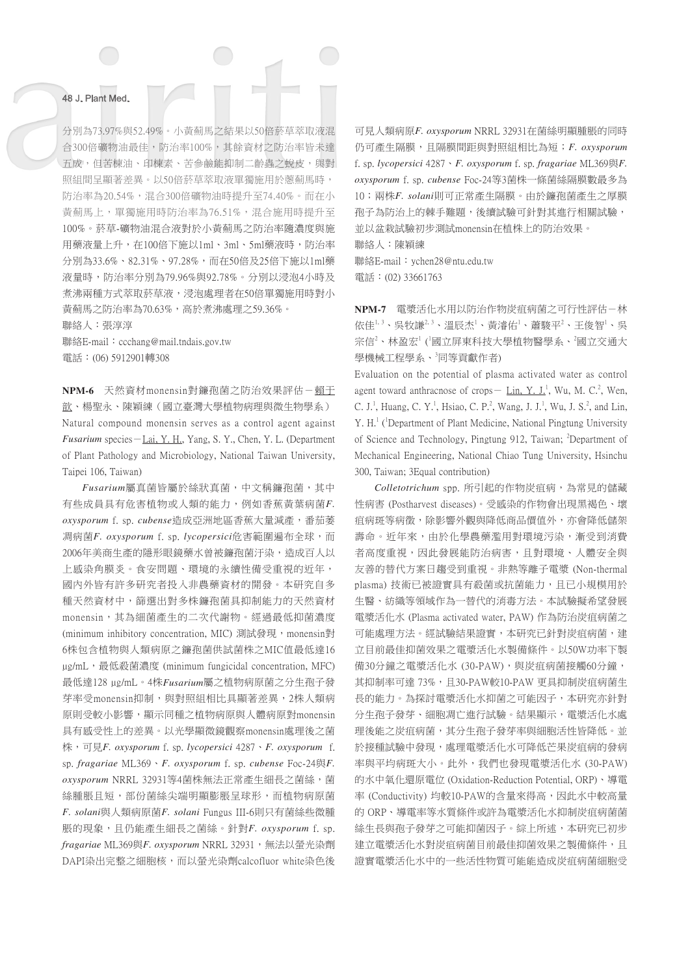分別為73.97%與52.49%。小黃薊馬之結果以50倍菸草萃取液混 合300倍礦物油最佳,防治率100%,其餘資材之防治率皆未達 五成,但苦楝油、印楝素、苦參鹼能抑制二齡蟲之蛻皮,與對 照組間呈顯著差異。以50倍菸草萃取液單獨施用於蔥薊馬時, 防治率為20.54%,混合300倍礦物油時提升至74.40%。而在小 黃薊馬上,單獨施用時防治率為76.51%,混合施用時提升至 100%。菸草-礦物油混合液對於小黃薊馬之防治率隨濃度與施 用藥液量上升, 在100倍下施以1ml、3ml、5ml藥液時, 防治率 分別為33.6%、82.31%、97.28%,而在50倍及25倍下施以1ml藥 液量時,防治率分別為79.96%與92.78%。分別以浸泡4小時及 煮沸兩種方式萃取菸草液,浸泡處理者在50倍單獨施用時對小 黃薊馬之防治率為70.63%,高於煮沸處理之59.36%。

聯絡人:張淳淳

聯絡E-mail: ccchang@mail.tndais.gov.tw 電話:(06) 5912901轉308

NPM-6 天然資材monensin對鐮孢菌之防治效果評估-賴王 歆、楊聖永、陳穎練(國立臺灣大學植物病理與微生物學系) Natural compound monensin serves as a control agent against *Fusarium* species-Lai, Y. H., Yang, S. Y., Chen, Y. L. (Department of Plant Pathology and Microbiology, National Taiwan University, Taipei 106, Taiwan)

*Fusarium*屬真菌皆屬於絲狀真菌,中文稱鐮孢菌,其中 有些成員具有危害植物或人類的能力,例如香蕉黃葉病菌*F. oxysporum* f. sp. *cubense*造成亞洲地區香蕉大量減產,番茄萎 凋病菌*F. oxysporum* f. sp. *lycopersici*危害範圍遍布全球,而 2006年美商生產的隱形眼鏡藥水曾被鐮孢菌汙染,造成百人以 上感染角膜炎。食安問題、環境的永續性備受重視的近年, 國內外皆有許多研究者投入非農藥資材的開發。本研究自多 種天然資材中,篩選出對多株鐮孢菌具抑制能力的天然資材 monensin,其為細菌產生的二次代謝物。經過最低抑菌濃度 (minimum inhibitory concentration, MIC) 測試發現, monensin對 6株包含植物與人類病原之鐮孢菌供試菌株之MIC值最低達16 ug/mL, 最低殺菌濃度 (minimum fungicidal concentration, MFC) 最低達128 µg/mL。4株*Fusarium*屬之植物病原菌之分生孢子發 芽率受monensin抑制,與對照組相比具顯著差異,2株人類病 原則受較小影響,顯示同種之植物病原與人體病原對monensin 具有感受性上的差異。以光學顯微鏡觀察monensin處理後之菌 株,可見*F. oxysporum* f. sp. *lycopersici* 4287、*F. oxysporum* f. sp. *fragariae* ML369、*F. oxysporum* f. sp. *cubense* Foc-24與*F. oxysporum* NRRL 32931等4菌株無法正常產生細長之菌絲,菌 **絲腫脹且短,部份菌絲尖端明顯膨脹呈球形,而植物病原菌** *F. solani*與人類病原菌*F. solani* Fungus III-6則只有菌絲些微腫 脹的現象,且仍能產生細長之菌絲。針對*F. oxysporum* f. sp. *fragariae* ML369與*F. oxysporum* NRRL 32931,無法以螢光染劑 DAPI染出完整之細胞核,而以螢光染劑calcofluor white染色後

可見人類病原*F. oxysporum* NRRL 32931在菌絲明顯腫脹的同時 仍可產生隔膜,且隔膜間距與對照組相比為短;*F. oxysporum* f. sp. *lycopersici* 4287、*F. oxysporum* f. sp. *fragariae* ML369與*F. oxysporum* f. sp. *cubense* Foc-24等3菌株一條菌絲隔膜數最多為 10;兩株*F. solani*則可正常產生隔膜。由於鐮孢菌產生之厚膜 孢子為防治上的棘手難題,後續試驗可針對其進行相關試驗, 並以盆栽試驗初步測試monensin在植株上的防治效果。 聯絡人:陳穎練

聯絡E-mail:ychen28@ntu.edu.tw 電話:(02) 33661763

NPM-7 電漿活化水用以防治作物炭疽病菌之可行性評估-林 依佳<sup>1,3</sup>、吳牧謙<sup>2,3</sup>、溫辰杰<sup>1</sup>、黃濬佑<sup>1</sup>、蕭駿平<sup>2</sup>、王俊智<sup>1</sup>、吳 宗信<sup>2</sup>、林盈宏<sup>1</sup> ('國立屏東科技大學植物醫學系、<sup>2</sup>國立交通大 學機械工程學系、 同等貢獻作者)

Evaluation on the potential of plasma activated water as control agent toward anthracnose of crops - Lin, Y. J.<sup>1</sup>, Wu, M. C.<sup>2</sup>, Wen, C. J.<sup>1</sup>, Huang, C. Y.<sup>1</sup>, Hsiao, C. P.<sup>2</sup>, Wang, J. J.<sup>1</sup>, Wu, J. S.<sup>2</sup>, and Lin, Y. H.<sup>1</sup> (<sup>1</sup>Department of Plant Medicine, National Pingtung University of Science and Technology, Pingtung 912, Taiwan; <sup>2</sup>Department of Mechanical Engineering, National Chiao Tung University, Hsinchu 300, Taiwan; 3Equal contribution)

*Colletotrichum* spp. 所引起的作物炭疽病,為常見的儲藏 性病害 (Postharvest diseases)。受感染的作物會出現黑褐色、壞 疽病斑等病徵,除影響外觀與降低商品價值外,亦會降低儲架 壽命。近年來,由於化學農藥濫用對環境污染,漸受到消費 者高度重視,因此發展能防治病害,且對環境、人體安全與 友善的替代方案日趨受到重視。非熱等離子電漿 (Non-thermal plasma) 技術已被證實具有殺菌或抗菌能力,且已小規模用於 生醫、紡織等領域作為一替代的消毒方法。本試驗擬希望發展 電漿活化水 (Plasma activated water, PAW) 作為防治炭疽病菌之 可能處理方法。經試驗結果證實,本研究已針對炭疽病菌,建 立目前最佳抑菌效果之電漿活化水製備條件。以50W功率下製 備30分鐘之電漿活化水 (30-PAW),與炭疽病菌接觸60分鐘, 其抑制率可達 73%, 且30-PAW較10-PAW 更具抑制炭疽病菌生 長的能力。為探討電漿活化水抑菌之可能因子,本研究亦針對 分生孢子發芽、細胞凋亡進行試驗。結果顯示,電漿活化水處 理後能之炭疽病菌,其分生孢子發芽率與細胞活性皆降低。並 於接種試驗中發現,處理電漿活化水可降低芒果炭疽病的發病 率與平均病斑大小。此外,我們也發現電漿活化水 (30-PAW) 的水中氧化還原電位 (Oxidation-Reduction Potential, ORP)、導電 率 (Conductivity) 均較10-PAW的含量來得高,因此水中較高量 的 ORP、導電率等水質條件或許為電漿活化水抑制炭疽病菌菌 絲生長與孢子發芽之可能抑菌因子。綜上所述,本研究已初步 建立電漿活化水對炭疽病菌目前最佳抑菌效果之製備條件,且 證實電漿活化水中的一些活性物質可能能造成炭疽病菌細胞受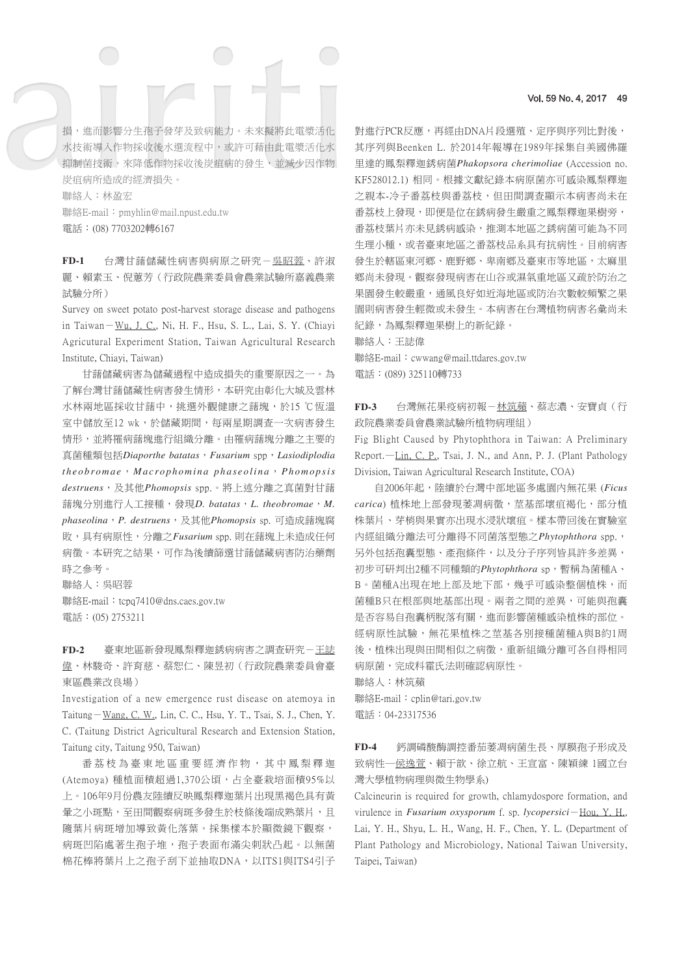# 損,進而影響分生孢子發芽及致病能力。未來擬將此電漿活化 水技術導入作物採收後水選流程中,或許可藉由此電漿活化水 抑制菌技術,來降低作物採收後炭疽病的發生,並減少因作物 炭疽病所造成的經濟損失。

聯絡人:林盈宏

聯絡E-mail:pmyhlin@mail.npust.edu.tw 電話:(08) 7703202轉6167

FD-1 台灣甘藷儲藏性病害與病原之研究-吳昭蓉、許淑 麗、賴素玉、倪蕙芳(行政院農業委員會農業試驗所嘉義農業 試驗分所)

Survey on sweet potato post-harvest storage disease and pathogens in Taiwan-Wu, J. C., Ni, H. F., Hsu, S. L., Lai, S. Y. (Chiayi Agricutural Experiment Station, Taiwan Agricultural Research Institute, Chiayi, Taiwan)

甘藷儲藏病害為儲藏過程中造成損失的重要原因之一。為 了解台灣甘藷儲藏性病害發生情形,本研究由彰化大城及雲林 水林兩地區採收甘藷中,挑選外觀健康之藷塊,於15 ℃恆溫 室中儲放至12 wk,於儲藏期間,每兩星期調查一次病害發生 情形,並將罹病藷塊進行組織分離。由罹病藷塊分離之主要的 真菌種類包括*Diaporthe batatas*,*Fusarium* spp,*Lasiodiplodia theobromae*,*Macrophomina phaseolina*,*Phomopsis destruens*,及其他*Phomopsis* spp.。將上述分離之真菌對甘藷 藷塊分別進行人工接種,發現*D. batatas*,*L. theobromae*,*M. phaseolina*,*P. destruens*,及其他*Phomopsis* sp. 可造成藷塊腐 敗,具有病原性,分離之*Fusarium* spp. 則在藷塊上未造成任何 病徵。本研究之結果,可作為後續篩選甘藷儲藏病害防治藥劑 時之參考。

聯絡人:吳昭蓉

聯絡E-mail: tcpq7410@dns.caes.gov.tw 電話:(05) 2753211

**FD-2** 臺東地區新發現鳳梨釋迦銹病病害之調查研究-王誌 偉、林駿奇、許育慈、蔡恕仁、陳昱初(行政院農業委員會臺 東區農業改良場)

Investigation of a new emergence rust disease on atemoya in Taitung-Wang, C. W., Lin, C. C., Hsu, Y. T., Tsai, S. J., Chen, Y. C. (Taitung District Agricultural Research and Extension Station, Taitung city, Taitung 950, Taiwan)

番荔枝為臺東地區重要經濟作物,其中鳳梨釋迦 (Atemoya) 種植面積超過1,370公頃,占全臺栽培面積95%以 上。106年9月份農友陸續反映鳳梨釋迦葉片出現黑褐色具有黃 暈之小斑點,至田間觀察病斑多發生於枝條後端成熟葉片,且 隨葉片病斑增加導致黃化落葉。採集樣本於顯微鏡下觀察, 病斑凹陷處著生孢子堆,孢子表面布滿尖刺狀凸起。以無菌 棉花棒將葉片上之孢子刮下並抽取DNA,以ITS1與ITS4引子

#### Vol. 59 No. 4, 2017 49

對進行PCR反應,再經由DNA片段選殖、定序與序列比對後, 其序列與Beenken L. 於2014年報導在1989年採集自美國佛羅 里達的鳳梨釋迦銹病菌*Phakopsora cherimoliae* (Accession no. KF528012.1) 相同。根據文獻紀錄本病原菌亦可感染鳳梨釋迦 之親本-冷子番荔枝與番荔枝,但田間調査顯示本病害尚未在 番荔枝上發現,即便是位在銹病發生嚴重之鳳梨釋迦果樹旁, 番荔枝葉片亦未見銹病感染,推測本地區之銹病菌可能為不同 生理小種,或者臺東地區之番荔枝品系具有抗病性。目前病害 發生於轄區東河鄉、鹿野鄉、卑南鄉及臺東市等地區,太麻里 鄉尚未發現。觀察發現病害在山谷或濕氣重地區又疏於防治之 果園發生較嚴重,通風良好如近海地區或防治次數較頻繁之果 園則病害發生輕微或未發生。本病害在台灣植物病害名彙尚未 紀錄,為鳳梨釋迦果樹上的新紀錄。

聯絡人:王誌偉

聯絡E-mail: cwwang@mail.ttdares.gov.tw 電話:(089) 325110轉733

**FD-3** 台灣無花果疫病初報-林筑蘋、蔡志濃、安寶貞(行 政院農業委員會農業試驗所植物病理組)

Fig Blight Caused by Phytophthora in Taiwan: A Preliminary Report.—Lin, C. P., Tsai, J. N., and Ann, P. J. (Plant Pathology Division, Taiwan Agricultural Research Institute, COA)

自2006年起,陸續於台灣中部地區多處園內無花果 (*Ficus*  carica) 植株地上部發現萎凋病徵,莖基部壞疽褐化,部分植 株葉片、芽梢與果實亦出現水浸狀壞疽。樣本帶回後在實驗室 內經組織分離法可分離得不同菌落型態之*Phytophthora* spp., 另外包括孢囊型態、產孢條件,以及分子序列皆具許多差異, 初步可研判出2種不同種類的*Phytophthora* sp,暫稱為菌種A、 B。菌種A出現在地上部及地下部,幾乎可感染整個植株,而 菌種B只在根部與地基部出現。兩者之間的差異,可能與孢囊 是否容易自孢囊柄脫落有關,進而影響菌種感染植株的部位。 經病原性試驗,無花果植株之莖基各別接種菌種A與B約1周 後,植株出現與田間相似之病徵,重新組織分離可各自得相同 病原菌,完成科霍氏法則確認病原性。

聯絡人:林筑蘋 聯絡E-mail:cplin@tari.gov.tw 電話:04-23317536

**FD-4** 鈣調磷酸酶調控番茄萎凋病菌生長、厚膜孢子形成及 致病性一侯逸萱、賴于歆、徐立航、王宣富、陳穎練 1國立台 灣大學植物病理與微生物學系)

Calcineurin is required for growth, chlamydospore formation, and virulence in *Fusarium oxysporum* f. sp. *lycopersici*-Hou, Y. H., Lai, Y. H., Shyu, L. H., Wang, H. F., Chen, Y. L. (Department of Plant Pathology and Microbiology, National Taiwan University, Taipei, Taiwan)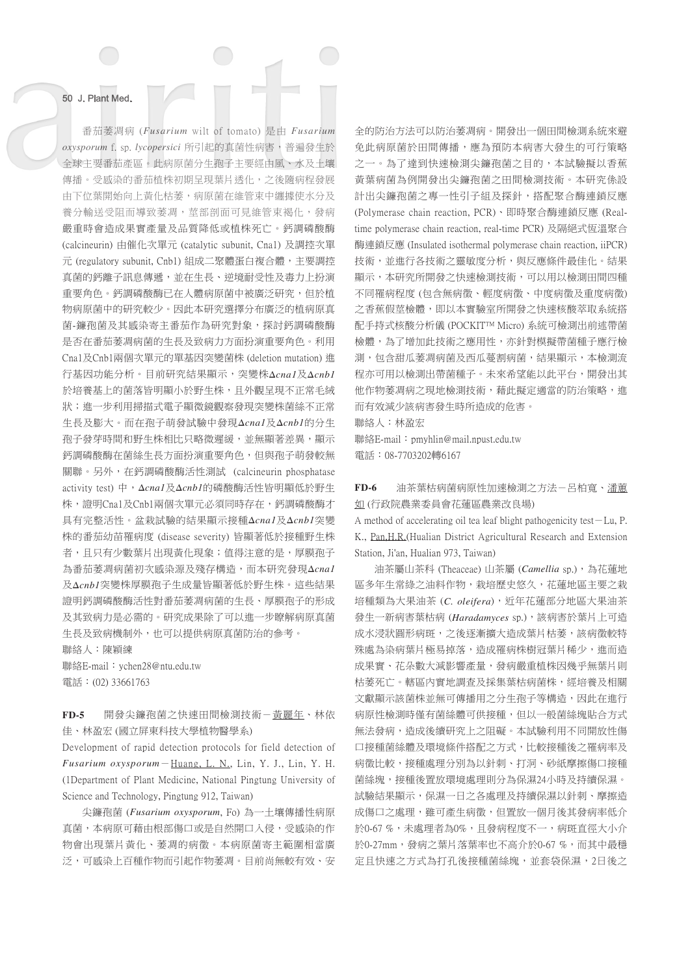番茄萎凋病 (Fusarium wilt of tomato) 是由 Fusarium *oxysporum* f. sp. *lycopersici* 所引起的真菌性病害,普遍發生於 全球主要番茄產區。此病原菌分生孢子主要經由風、水及土壤 傳播。受感染的番茄植株初期呈現葉片透化,之後隨病程發展 由下位葉開始向上黃化枯萎,病原菌在維管束中纏據使水分及 養分輸送受阻而導致萎凋,莖部剖面可見維管束褐化,發病 嚴重時會造成果實產量及品質降低或植株死亡。鈣調磷酸酶 (calcineurin) 由催化次單元 (catalytic subunit, Cna1) 及調控次單 元 (regulatory subunit, Cnb1) 組成二聚體蛋白複合體,主要調控 真菌的鈣離子訊息傳遞,並在生長、逆境耐受性及毒力上扮演 重要角色。鈣調磷酸酶已在人體病原菌中被廣泛研究,但於植 物病原菌中的研究較少。因此本研究選擇分布廣泛的植病原真 菌-鐮孢菌及其感染寄主番茄作為研究對象,探討鈣調磷酸酶 是否在番茄萎凋病菌的生長及致病力方面扮演重要角色。利用 Cna1及Cnb1兩個次單元的單基因突變菌株 (deletion mutation) 進 行基因功能分析。目前研究結果顯示,突變株*Δcna1*及*Δcnb1* 於培養基上的菌落皆明顯小於野生株,且外觀呈現不正常毛絨 狀;進一步利用掃描式電子顯微鏡觀察發現突變株菌絲不正常 生長及膨大。而在孢子萌發試驗中發現*Δcna1*及*Δcnb1*的分生 孢子發芽時間和野生株相比只略微遲緩,並無顯著差異,顯示 鈣調磷酸酶在菌絲生長方面扮演重要角色,但與孢子萌發較無 關聯。另外,在鈣調磷酸酶活性測試 (calcineurin phosphatase activity test) 中,*Δcna1*及*Δcnb1*的磷酸酶活性皆明顯低於野生 株,證明Cna1及Cnb1兩個次單元必須同時存在,鈣調磷酸酶才 具有完整活性。盆栽試驗的結果顯示接種*Δcna1*及*Δcnb1*突變 株的番茄幼苗罹病度 (disease severity) 皆顯著低於接種野生株 者, 日只有少數葉片出現黃化現象; 值得注意的是, 厚膜孢子 為番茄萎凋病菌初次感染源及殘存構造,而本研究發現*Δcna1* 及*Δcnb1*突變株厚膜孢子生成量皆顯著低於野生株。這些結果 證明鈣調磷酸酶活性對番茄萎凋病菌的生長、厚膜孢子的形成 及其致病力是必需的。研究成果除了可以進一步瞭解病原真菌 生長及致病機制外,也可以提供病原真菌防治的參考。

聯絡人:陳穎練

聯絡E-mail:ychen28@ntu.edu.tw 電話:(02) 33661763

**FD-5** 開發尖鐮孢菌之快速田間檢測技術-黃麗年、林依 佳、林盈宏 (國立屏東科技大學植物醫學系)

Development of rapid detection protocols for field detection of *Fusarium oxysporum*-Huang, L. N., Lin, Y. J., Lin, Y. H. (1Department of Plant Medicine, National Pingtung University of Science and Technology, Pingtung 912, Taiwan)

尖鐮孢菌 (*Fusarium oxysporum*, Fo) 為一土壤傳播性病原 真菌,本病原可藉由根部傷口或是自然開口入侵,受感染的作 物會出現葉片黃化、萎凋的病徵。本病原菌寄主範圍相當廣 泛,可感染上百種作物而引起作物萎凋。目前尚無較有效、安

全的防治方法可以防治萎凋病。開發出一個田間檢測系統來避 免此病原菌於田間傳播,應為預防本病害大發生的可行策略 之一。為了達到快速檢測尖鐮孢菌之目的,本試驗擬以香蕉 黃葉病菌為例開發出尖鐮孢菌之田間檢測技術。本研究係設 計出尖鐮孢菌之專一性引子組及探針,搭配聚合酶連鎖反應 (Polymerase chain reaction, PCR)、即時聚合酶連鎖反應 (Realtime polymerase chain reaction, real-time PCR) 及隔絕式恆溫聚合 酶連鎖反應 (Insulated isothermal polymerase chain reaction, iiPCR) 技術,並進行各技術之靈敏度分析,與反應條件最佳化。結果 顯示,本研究所開發之快速檢測技術,可以用以檢測田間四種 不同罹病程度 (包含無病徵、輕度病徵、中度病徵及重度病徵) 之香蕉假莖檢體,即以本實驗室所開發之快速核酸萃取系統搭 配手持式核酸分析儀 (POCKIT™ Micro) 系統可檢測出前述帶菌 檢體,為了增加此技術之應用性,亦針對模擬帶菌種子應行檢 測,包含甜瓜萎凋病菌及西瓜蔓割病菌,結果顯示,本檢測流 程亦可用以檢測出帶菌種子。未來希望能以此平台,開發出其 他作物萎凋病之現地檢測技術,藉此擬定適當的防治策略,進 而有效減少該病害發生時所造成的危害。

聯絡人:林盈宏

 $m$  : pmyhlin@mail.npust.edu.tw 電話:08-7703202轉6167

**FD-6** 油茶葉枯病菌病原性加速檢測之方法-呂柏寬、潘蕙 如 (行政院農業委員會花蓮區農業改良場)

A method of accelerating oil tea leaf blight pathogenicity test-Lu, P. K., Pan,H.R.(Hualian District Agricultural Research and Extension Station, Ji'an, Hualian 973, Taiwan)

油茶屬山茶科 (Theaceae) 山茶屬 (*Camellia* sp.),為花蓮地 區多年生常綠之油料作物,栽培歷史悠久,花蓮地區主要之栽 培種類為大果油茶 (C. oleifera), 近年花蓮部分地區大果油茶 發生一新病害葉枯病 (*Haradamyces* sp.),該病害於葉片上可造 成水浸狀圓形病斑,之後逐漸擴大造成葉片枯萎,該病徵較特 殊處為染病葉片極易掉落,造成罹病株樹冠葉片稀少,進而造 成果實、花朵數大減影響產量,發病嚴重植株因幾乎無葉片則 枯萎死亡。轄區內實地調查及採集葉枯病菌株,經培養及相關 文獻顯示該菌株並無可傳播用之分生孢子等構造,因此在進行 病原性檢測時僅有菌絲體可供接種,但以一般菌絲塊貼合方式 無法發病,造成後續研究上之阻礙。本試驗利用不同開放性傷 口接種菌絲體及環境條件搭配之方式,比較接種後之罹病率及 病徵比較,接種處理分別為以針刺、打洞、砂紙摩擦傷口接種 菌絲塊,接種後置放環境處理則分為保濕24小時及持續保濕。 試驗結果顯示,保濕一日之各處理及持續保濕以針刺、摩擦造 成傷口之處理,雖可產生病徵,但置放一個月後其發病率低介 於0-67%,未處理者為0%,且發病程度不一,病斑直徑大小介 於0-27mm,發病之葉片落葉率也不高介於0-67 %,而其中最穩 定且快速之方式為打孔後接種菌絲塊,並套袋保濕,2日後之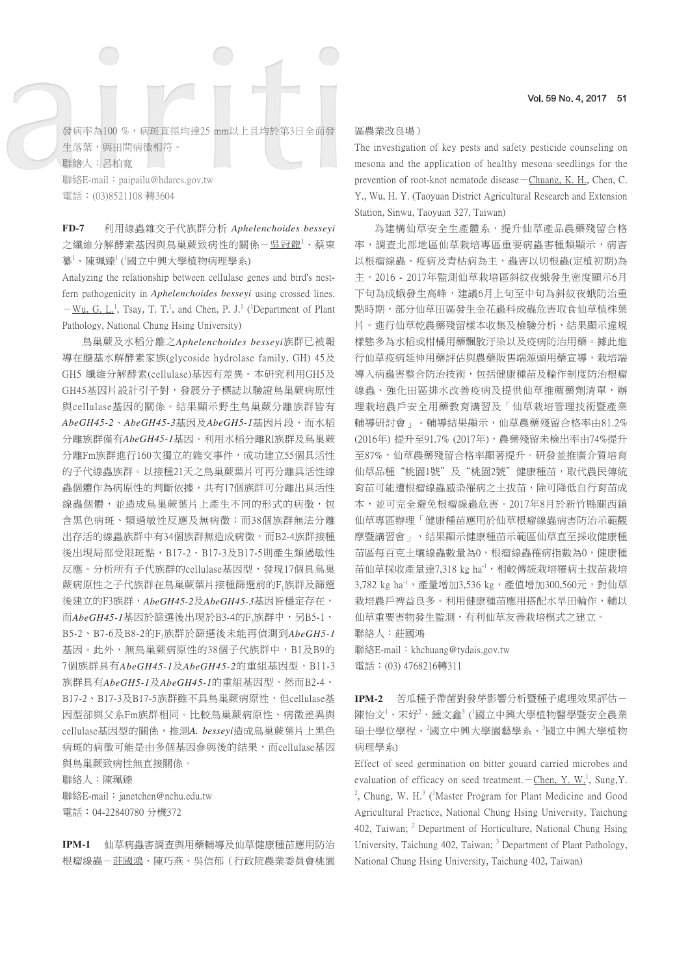發病率為100%,病斑直徑均達25 mm以上且均於第3日全面發 生落葉,與田間病徵相符。 聯絡人:呂柏寬 聯絡E-mail: paipailu@hdares.gov.tw 電話:(03)8521108 轉3604

**FD-7** 利用線蟲雜交子代族群分析 *Aphelenchoides besseyi* 之纖維分解酵素基因與鳥巢蕨致病性的關係–吳<u>冠龍1、蔡</u>東 纂'、陳珮臻'('國立中興大學植物病理學系)

Analyzing the relationship between cellulase genes and bird's nestfern pathogenicity in *Aphelenchoides besseyi* using crossed lines.  $-\underline{W}u$ , G. L.<sup>1</sup>, Tsay, T. T.<sup>1</sup>, and Chen, P. J.<sup>1</sup> (<sup>1</sup>Department of Plant Pathology, National Chung Hsing University)

鳥巢蕨及水稻分離之*Aphelenchoides besseyi*族群已被報 導在醣基水解酵素家族(glycoside hydrolase family, GH) 45及 GH5 纖維分解酵素(cellulase)基因有差異。本研究利用GH5及 GH45基因片設計引子對,發展分子標誌以驗證鳥巢蕨病原性 與cellulase基因的關係。結果顯示野生鳥巢蕨分離族群皆有 *AbeGH45-2*、*AbeGH45-3*基因及*AbeGH5-1*基因片段,而水稻 分離族群僅有*AbeGH45-1*基因。利用水稻分離Rl族群及鳥巢蕨 分離Fm族群進行160次獨立的雜交事件,成功建立55個具活性 的子代線蟲族群。以接種21天之鳥巢蕨葉片可再分離具活性線 蟲個體作為病原性的判斷依據,共有17個族群可分離出具活性 線蟲個體,並造成鳥巢蕨葉片上產生不同的形式的病徵,包 含黑色病斑、類過敏性反應及無病徵;而38個族群無法分離 出存活的線蟲族群中有34個族群無造成病徵,而B2-4族群接種 後出現局部受限斑點,B17-2、B17-3及B17-5則產生類過敏性 反應。分析所有子代族群的cellulase基因型,發現17個具鳥巢 蕨病原性之子代族群在鳥巢蕨葉片接種篩選前的F1族群及篩選 後建立的F3族群,*AbeGH45-2*及*AbeGH45-3*基因皆穩定存在, 而*AbeGH45-1*基因於篩選後出現於B3-4的F3族群中,另B5-1、 B5-2、B7-6及B8-2的F3族群於篩選後未能再偵測到*AbeGH5-1* 基因。此外,無鳥巢蕨病原性的38個子代族群中,B1及B9的 7個族群具有*AbeGH45-1*及*AbeGH45-2*的重組基因型,B11-3 族群具有*AbeGH5-1*及*AbeGH45-1*的重組基因型。然而B2-4、 B17-2、B17-3及B17-5族群雖不具鳥巢蕨病原性,但cellulase基 因型卻與父系Fm族群相同。比較鳥巢蕨病原性、病徵差異與 cellulase基因型的關係,推測*A. besseyi*造成鳥巢蕨葉片上黑色 病斑的病徵可能是由多個基因參與後的結果,而cellulase基因 與鳥巢蕨致病性無直接關係。

聯絡人:陳珮臻 聯絡E-mail: janetchen@nchu.edu.tw 電話:04-22840780 分機372

**IPM-1** 仙草病蟲害調查與用藥輔導及仙草健康種苗應用防治 根瘤線蟲-莊國鴻、陳巧燕、吳信郁(行政院農業委員會桃園

## 區農業改良場)

The investigation of key pests and safety pesticide counseling on mesona and the application of healthy mesona seedlings for the prevention of root-knot nematode disease  $-\text{Chuang}, K, H,$ , Chen, C. Y., Wu, H. Y. (Taoyuan District Agricultural Research and Extension Station, Sinwu, Taoyuan 327, Taiwan)

為建構仙草安全生產體系,提升仙草產品農藥殘留合格 率,調查北部地區仙草栽培專區重要病蟲害種類顯示,病害 以根瘤線蟲、疫病及青枯病為主,蟲害以切根蟲(定植初期)為 主。2016 - 2017年監測仙草栽培區斜紋夜蛾發生密度顯示6月 下旬為成蛾發生高峰,建議6月上旬至中旬為斜紋夜蛾防治重 點時期,部分仙草田區發生金花蟲科成蟲危害取食仙草植株葉 片。進行仙草乾農藥殘留樣本收集及檢驗分析,結果顯示違規 樣態多為水稻或柑橘用藥飄散汙染以及疫病防治用藥。據此進 行仙草疫病延伸用藥評估與農藥販售端源頭用藥宣導,栽培端 導入病蟲害整合防治技術,包括健康種苗及輪作制度防治根瘤 線蟲、強化田區排水改善疫病及提供仙草推薦藥劑清單,辦 理栽培農戶安全用藥教育講習及「仙草栽培管理技術暨產業 輔導研討會」。輔導結果顯示,仙草農藥殘留合格率由81.2% (2016年) 提升至91.7% (2017年),農藥殘留未檢出率由74%提升 至87%,仙草農藥殘留合格率顯著提升。研發並推廣介質培育 仙草品種"桃園1號"及"桃園2號"健康種苗,取代農民傳統 育苗可能遭根瘤線蟲感染罹病之土拔苗,除可降低自行育苗成 本,並可完全避免根瘤線蟲危害。2017年8月於新竹縣關西鎮 仙草專區辦理「健康種苗應用於仙草根瘤線蟲病害防治示範觀 摩暨講習會」,結果顯示健康種苗示範區仙草直至採收健康種 苗區每百克土壤線蟲數量為0,根瘤線蟲罹病指數為0,健康種 苗仙草採收產量達7,318 kg ha1, 相較傳統栽培罹病土拔苗栽培 3,782 kg ha<sup>-1</sup>, 產量增加3,536 kg,產值增加300,560元,對仙草 栽培農戶裨益良多。利用健康種苗應用搭配水旱田輪作,輔以 仙草重要害物發生監測,有利仙草友善栽培模式之建立。 聯絡人:莊國鴻

聯絡E-mail: khchuang@tydais.gov.tw 電話:(03) 4768216轉311

**IPM-2** 苦瓜種子帶菌對發芽影響分析暨種子處理效果評估- 陳怡文」、宋妤2、鍾文鑫3(國立中興大學植物醫學暨安全農業 碩士學位學程、<sup>2</sup>國立中興大學園藝學系、<sup>3</sup>國立中興大學植物 病理學系)

Effect of seed germination on bitter gouard carried microbes and evaluation of efficacy on seed treatment.  $-\text{Chen, Y. W}^1$ , Sung, Y. <sup>2</sup>, Chung, W. H.<sup>3</sup> (<sup>1</sup>Master Program for Plant Medicine and Good Agricultural Practice, National Chung Hsing University, Taichung 402, Taiwan; <sup>2</sup> Department of Horticulture, National Chung Hsing University, Taichung 402, Taiwan; <sup>3</sup> Department of Plant Pathology, National Chung Hsing University, Taichung 402, Taiwan)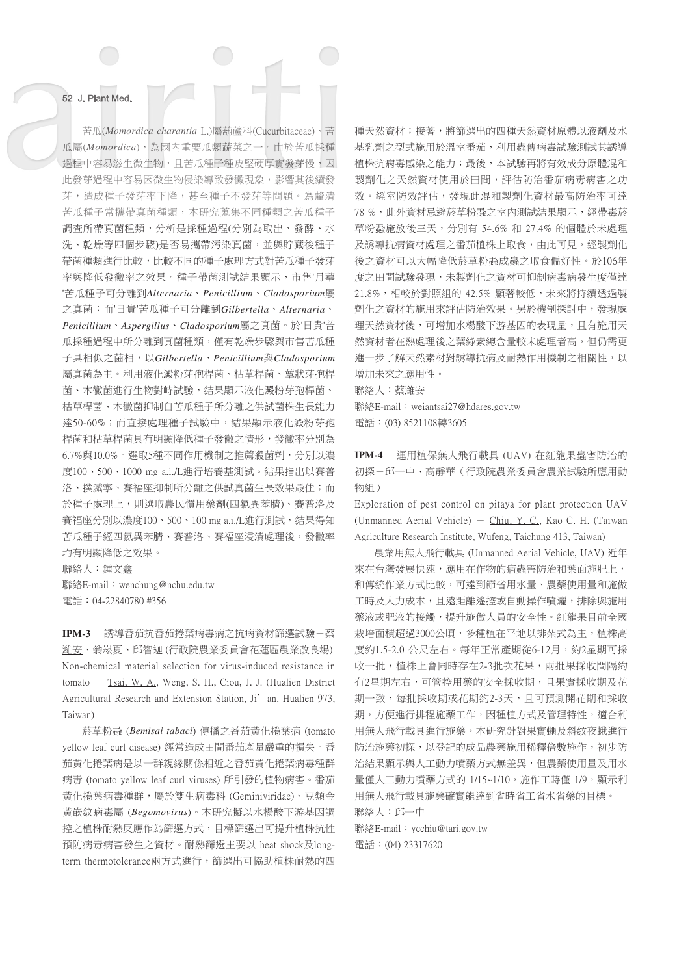苦瓜(*Momordica charantia* L.)屬葫蘆科(Cucurbitaceae)、苦 瓜屬(*Momordica*),為國內重要瓜類蔬菜之一。由於苦瓜採種 過程中容易滋生微生物,且苦瓜種子種皮堅硬厚實發芽慢,因 此發芽過程中容易因微生物侵染導致發黴現象,影響其後續發 芽,造成種子發芽率下降,甚至種子不發芽等問題。為釐清 苦瓜種子常攜帶真菌種類,本研究蒐集不同種類之苦瓜種子 調查所帶真菌種類,分析是採種過程(分別為取出、發酵、水 洗、乾燥等四個步驟)是否易攜帶污染真菌,並與貯藏後種子 帶菌種類進行比較,比較不同的種子處理方式對苦瓜種子發芽 率與降低發黴率之效果。種子帶菌測試結果顯示,市售'月華 '苦瓜種子可分離到*Alternaria*、*Penicillium*、*Cladosporium*屬 之真菌;而'日貴'苦瓜種子可分離到*Gilbertella*、*Alternaria*、 *Penicillium*、*Aspergillus*、*Cladosporium*屬之真菌。於'日貴'苦 瓜採種過程中所分離到真菌種類,僅有乾燥步驟與市售苦瓜種 子具相似之菌相,以*Gilbertella*、*Penicillium*與*Cladosporium* 屬真菌為主。利用液化澱粉芽孢桿菌、枯草桿菌、蕈狀芽孢桿 菌、木黴菌進行生物對峙試驗,結果顯示液化澱粉芽孢桿菌、 枯草桿菌、木黴菌抑制自苦瓜種子所分離之供試菌株生長能力 達50-60%;而直接處理種子試驗中,結果顯示液化澱粉芽孢 桿菌和枯草桿菌具有明顯降低種子發黴之情形,發黴率分別為 6.7%與10.0%。選取5種不同作用機制之推薦殺菌劑,分別以濃 度100、500、1000 mg a.i./L進行培養基測試。結果指出以賽普 洛、撲滅寧、賽福座抑制所分離之供試真菌生長效果最佳;而 於種子處理上,則選取農民慣用藥劑(四氯異苯腈)、賽普洛及 賽福座分別以濃度100、500、100 mg a.i./L進行測試,結果得知 苦瓜種子經四氯異苯腈、賽普洛、賽福座浸漬處理後,發黴率 均有明顯降低之效果。

聯絡人:鍾文鑫 聯絡E-mail: wenchung@nchu.edu.tw 電話:04-22840780 #356

**IPM-3** 誘導番茄抗番茄捲葉病毒病之抗病資材篩選試驗-蔡 濰安、翁崧夏、邱智迦 (行政院農業委員會花蓮區農業改良場) Non-chemical material selection for virus-induced resistance in tomato - Tsai, W. A., Weng, S. H., Ciou, J. J. (Hualien District Agricultural Research and Extension Station, Ji'an, Hualien 973, Taiwan)

菸草粉蝨 (*Bemisai tabaci*) 傳播之番茄黃化捲葉病 (tomato yellow leaf curl disease) 經常造成田間番茄產量嚴重的損失。番 茄黃化捲葉病是以一群親緣關係相近之番茄黃化捲葉病毒種群 病毒 (tomato yellow leaf curl viruses) 所引發的植物病害。番茄 黃化捲葉病毒種群,屬於雙生病毒科 (Geminiviridae)、豆類金 黃嵌紋病毒屬 (*Begomovirus*)。本研究擬以水楊酸下游基因調 控之植株耐熱反應作為篩選方式,目標篩選出可提升植株抗性 預防病毒病害發生之資材。耐熱篩選主要以 heat shock及longterm thermotolerance兩方式進行,篩選出可協助植株耐熱的四 種天然資材;接著,將篩選出的四種天然資材原體以液劑及水 基乳劑之型式施用於溫室番茄,利用蟲傳病毒試驗測試其誘導 植株抗病毒感染之能力;最後,本試驗再將有效成分原體混和 製劑化之天然資材使用於田間,評估防治番茄病毒病害之功 效。經室防效評估,發現此混和製劑化資材最高防治率可達 78%,此外資材忌避菸草粉蝨之室內測試結果顯示,經帶毒菸 草粉蝨施放後三天,分別有 54.6% 和 27.4% 的個體於未處理 及誘導抗病資材處理之番茄植株上取食,由此可見,經製劑化 後之資材可以大幅降低菸草粉蝨成蟲之取食偏好性。於106年 度之田間試驗發現,未製劑化之資材可抑制病毒病發生度僅達 21.8%,相較於對照組的 42.5% 顯著較低,未來將持續透過製 劑化之資材的施用來評估防治效果。另於機制探討中,發現處 理天然資材後,可增加水楊酸下游基因的表現量,且有施用天 然資材者在熱處理後之葉綠素總含量較未處理者高,但仍需更 進一步了解天然素材對誘導抗病及耐熱作用機制之相關性,以 增加未來之應用性。

聯絡人:蔡濰安

聯絡E-mail: weiantsai27@hdares.gov.tw 電話:(03) 8521108轉3605

**IPM-4** 運用植保無人飛行載具 (UAV) 在紅龍果蟲害防治的 初探-邱一中、高靜華(行政院農業委員會農業試驗所應用動 物組)

Exploration of pest control on pitaya for plant protection UAV (Unmanned Aerial Vehicle)  $-$  Chiu, Y. C., Kao C. H. (Taiwan Agriculture Research Institute, Wufeng, Taichung 413, Taiwan)

```
農業用無人飛行載具 (Unmanned Aerial Vehicle, UAV) 近年
來在台灣發展快速,應用在作物的病蟲害防治和葉面施肥上,
和傳統作業方式比較,可達到節省用水量、農藥使用量和施做
工時及人力成本,且遠距離遙控或自動操作噴灑,排除與施用
藥液或肥液的接觸,提升施做人員的安全性。紅龍果目前全國
栽培面積超過3000公頃,多種植在平地以排架式為主,植株高
度約1.5-2.0 公尺左右。每年正常產期從6-12月,約2星期可採
收一批,植株上會同時存在2-3批次花果,兩批果採收間隔約
有2星期左右,可管控用藥的安全採收期,且果實採收期及花
期一致,每批採收期或花期約2-3天,且可預測開花期和採收
期,方便進行排程施藥工作,因種植方式及管理特性,適合利
用無人飛行載具進行施藥。本研究針對果實蠅及斜紋夜蛾進行
防治施藥初探,以登記的成品農藥施用稀釋倍數施作,初步防
治結果顯示與人工動力噴藥方式無差異,但農藥使用量及用水
量僅人工動力噴藥方式的 1/15~1/10,施作工時僅 1/9,顯示利
用無人飛行載具施藥確實能達到省時省工省水省藥的目標。
聯絡人:邱一中
```
聯絡E-mail: ycchiu@tari.gov.tw 電話:(04) 23317620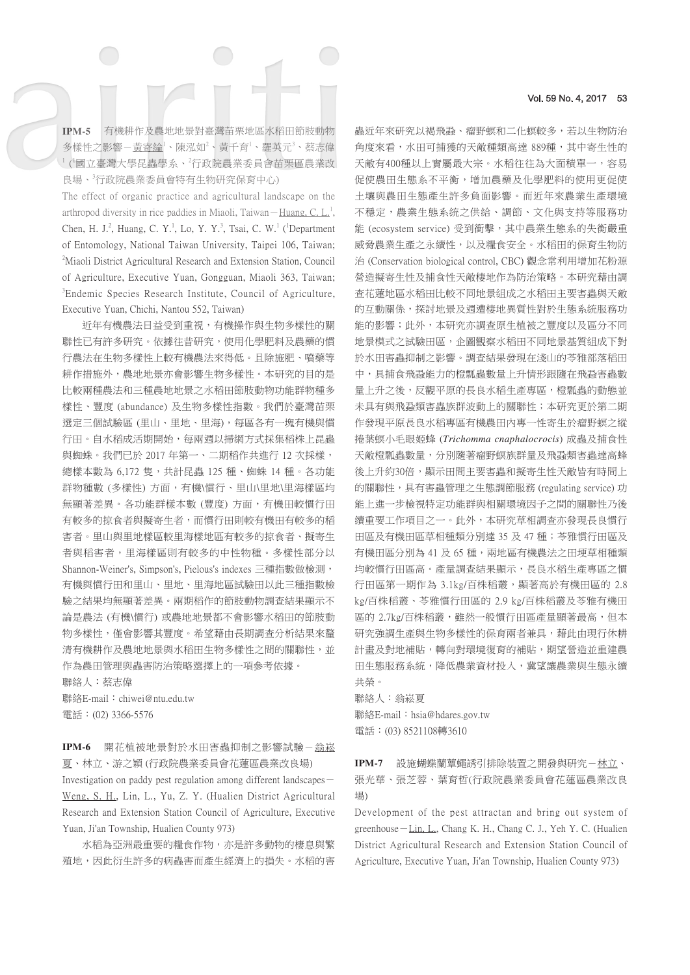**IPM-5** 有機耕作及農地地景對臺灣苗栗地區水稻田節肢動物 多樣性之影響-黃寄綸<sup>1</sup>、陳泓如<sup>2</sup>、黃千育<sup>1</sup>、羅英元<sup>3</sup>、蔡志偉 1 ( 1 國立臺灣大學昆蟲學系、<sup>2</sup> 行政院農業委員會苗栗區農業改 良場、<sup>3</sup> 行政院農業委員會特有生物研究保育中心)

The effect of organic practice and agricultural landscape on the arthropod diversity in rice paddies in Miaoli, Taiwan - Huang, C. L.<sup>1</sup>, Chen, H. J.<sup>2</sup>, Huang, C. Y.<sup>1</sup>, Lo, Y. Y.<sup>3</sup>, Tsai, C. W.<sup>1</sup> (<sup>1</sup>Department of Entomology, National Taiwan University, Taipei 106, Taiwan; <sup>2</sup>Miaoli District Agricultural Research and Extension Station, Council of Agriculture, Executive Yuan, Gongguan, Miaoli 363, Taiwan; <sup>3</sup>Endemic Species Research Institute, Council of Agriculture, Executive Yuan, Chichi, Nantou 552, Taiwan)

近年有機農法日益受到重視,有機操作與生物多樣性的關 聯性已有許多研究。依據往昔研究,使用化學肥料及農藥的慣 行農法在生物多樣性上較有機農法來得低。且除施肥、噴藥等 耕作措施外,農地地景亦會影響生物多樣性。本研究的目的是 比較兩種農法和三種農地地景之水稻田節肢動物功能群物種多 樣性、豐度 (abundance) 及生物多樣性指數。我們於臺灣苗栗 選定三個試驗區 (里山、里地、里海), 每區各有一塊有機與慣 行田。自水稻成活期開始,每兩週以掃網方式採集稻株上昆蟲 與蜘蛛。我們已於 2017 年第一、二期稻作共進行 12 次採樣, 總樣本數為 6,172 隻,共計昆蟲 125 種、蜘蛛 14 種。各功能 群物種數 (多樣性) 方面,有機\慣行、里山\里地\里海樣區均 無顯著差異。各功能群樣本數 (豐度) 方面,有機田較慣行田 有較多的掠食者與擬寄生者,而慣行田則較有機田有較多的稻 害者。里山與里地樣區較里海樣地區有較多的掠食者、擬寄生 者與稻害者,里海樣區則有較多的中性物種。多樣性部分以 Shannon-Weiner's, Simpson's, Pielous's indexes 三種指數做檢測, 有機與慣行田和里山、里地、里海地區試驗田以此三種指數檢 驗之結果均無顯著差異。兩期稻作的節肢動物調查結果顯示不 論是農法 (有機\慣行) 或農地地景都不會影響水稻田的節肢動 物多樣性,僅會影響其豐度。希望藉由長期調查分析結果來釐 清有機耕作及農地地景與水稻田生物多樣性之間的關聯性,並 作為農田管理與蟲害防治策略選擇上的一項參考依據。 聯絡人:蔡志偉

聯絡E-mail: chiwei@ntu.edu.tw 電話:(02) 3366-5576

IPM-6 開花植被地景對於水田害蟲抑制之影響試驗-翁崧 夏、林立、游之穎 (行政院農業委員會花蓮區農業改良場) Investigation on paddy pest regulation among different landscapes-Weng, S. H., Lin, L., Yu, Z. Y. (Hualien District Agricultural Research and Extension Station Council of Agriculture, Executive Yuan, Ji'an Township, Hualien County 973)

水稻為亞洲最重要的糧食作物,亦是許多動物的棲息與繁 殖地,因此衍生許多的病蟲害而產生經濟上的損失。水稻的害 蟲近年來研究以褐飛蝨、瘤野螟和二化螟較多,若以生物防治 角度來看,水田可捕獲的天敵種類高達 889種,其中寄生性的 天敵有400種以上實屬最大宗。水稻往往為大面積單一,容易 促使農田生態系不平衡,增加農藥及化學肥料的使用更促使 土壤與農田生態產生許多負面影響。而近年來農業生產環境 不穩定,農業生態系統之供給、調節、文化與支持等服務功 能 (ecosystem service) 受到衝擊, 其中農業生態系的失衡嚴重 威脅農業生產之永續性,以及糧食安全。水稻田的保育生物防 治 (Conservation biological control, CBC) 觀念常利用增加花粉源 營造擬寄生性及捕食性天敵棲地作為防治策略。本研究藉由調 查花蓮地區水稻田比較不同地景組成之水稻田主要害蟲與天敵 的互動關係,探討地景及週遭棲地異質性對於生態系統服務功 能的影響;此外,本研究亦調查原生植被之豐度以及區分不同 地景模式之試驗田區,企圖觀察水稻田不同地景基質組成下對 於水田害蟲抑制之影響。調查結果發現在淺山的苓雅部落稻田 中,具捕食飛蝨能力的橙瓢蟲數量上升情形跟隨在飛蝨害蟲數 量上升之後,反觀平原的長良水稻生產專區,橙瓢蟲的動態並 未具有與飛蝨類害蟲族群波動上的關聯性;本研究更於第二期 作發現平原長良水稻專區有機農田內專一性寄生於瘤野螟之縱 捲葉螟小毛眼姬蜂 (*Trichomma cnaphalocrocis*) 成蟲及捕食性 天敵橙瓢蟲數量,分別隨著瘤野螟族群量及飛蝨類害蟲達高蜂 後上升約30倍,顯示田間主要害蟲和擬寄生性天敵皆有時間上 的關聯性,具有害蟲管理之生態調節服務 (regulating service) 功 能上進一步檢視特定功能群與相關環境因子之間的關聯性乃後 續重要工作項目之一。此外,本研究草相調查亦發現長良慣行 田區及有機田區草相種類分別達 35 及 47 種; 苓雅慣行田區及 有機田區分別為 41 及 65 種,兩地區有機農法之田埂草相種類 均較慣行田區高。產量調查結果顯示,長良水稻生產專區之慣 行田區第一期作為 3.1kg/百株稻叢,顯著高於有機田區的 2.8 kg/百株稻叢、苓雅慣行田區的 2.9 kg/百株稻叢及苓雅有機田 區的 2.7kg/百株稻叢,雖然一般慣行田區產量顯著最高,但本 研究強調生產與生物多樣性的保育兩者兼具,藉此由現行休耕 計畫及對地補貼,轉向對環境復育的補貼,期望營造並重建農 田生態服務系統,降低農業資材投入,冀望讓農業與生態永續 共榮。

聯絡人:翁崧夏 聯絡E-mail: hsia@hdares.gov.tw 電話:(03) 8521108轉3610

IPM-7 設施蝴蝶蘭蕈蠅誘引排除裝置之開發與研究-林立、 張光華、張芝蓉、葉育哲(行政院農業委員會花蓮區農業改良 場)

Development of the pest attractan and bring out system of greenhouse-Lin, L., Chang K. H., Chang C. J., Yeh Y. C. (Hualien District Agricultural Research and Extension Station Council of Agriculture, Executive Yuan, Ji'an Township, Hualien County 973)